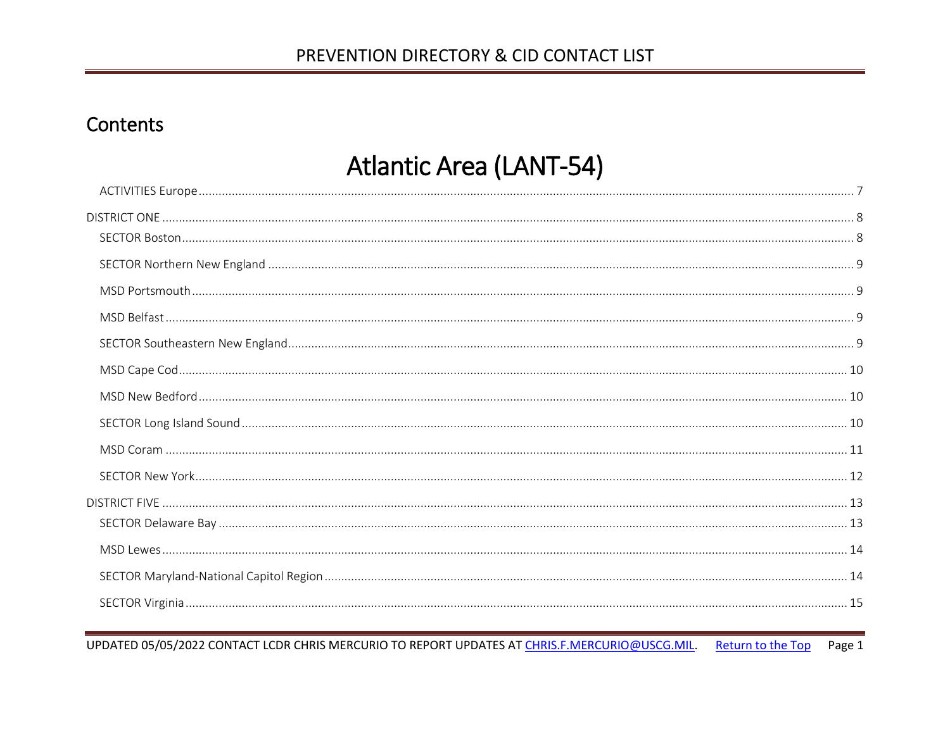# <span id="page-0-0"></span>Contents

# **Atlantic Area (LANT-54)**

UPDATED 05/05/2022 CONTACT LCDR CHRIS MERCURIO TO REPORT UPDATES AT CHRIS.F.MERCURIO@USCG.MIL. Return to the Top Page 1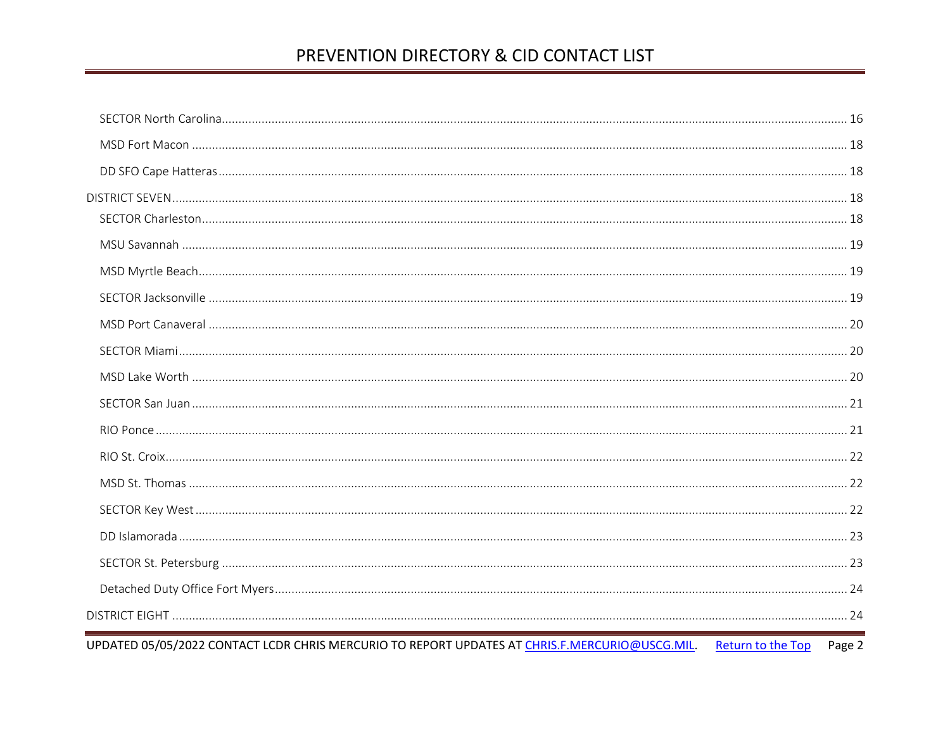UPDATED 05/05/2022 CONTACT LCDR CHRIS MERCURIO TO REPORT UPDATES AT CHRIS.F.MERCURIO@USCG.MIL. Return to the Top Page 2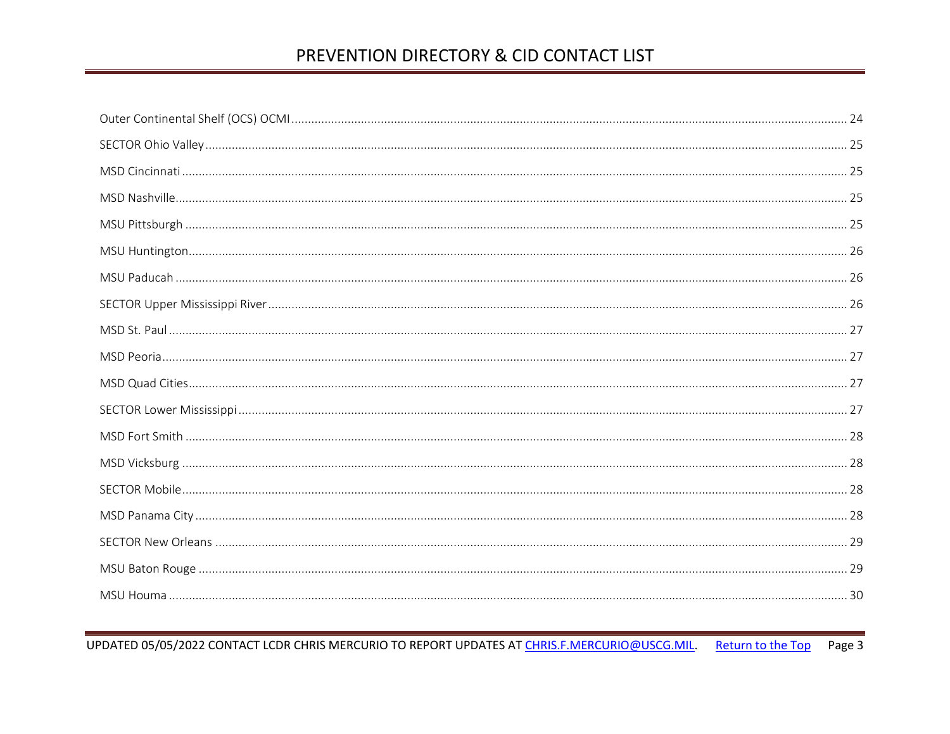UPDATED 05/05/2022 CONTACT LCDR CHRIS MERCURIO TO REPORT UPDATES AT CHRIS.F.MERCURIO@USCG.MIL. Return to the Top Page 3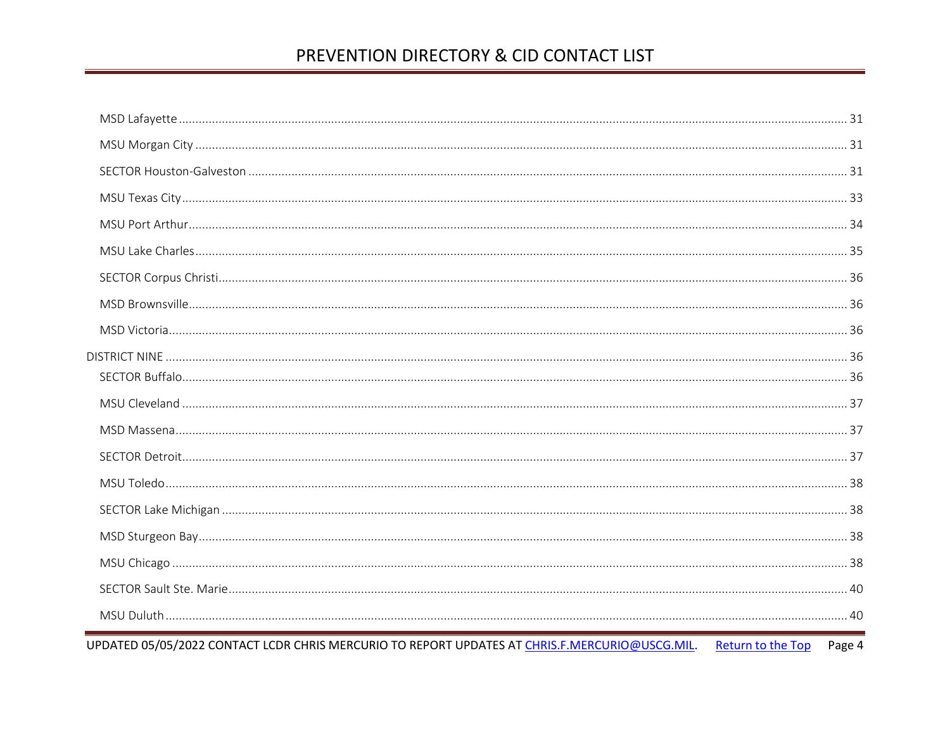| UPDATED 05/05/2022 CONTACT LCDR CHRIS MERCURIO TO REPORT UPDATES AT CHRIS.F.MERCURIO@USCG.MIL. Return to the Top | Page 4 |
|------------------------------------------------------------------------------------------------------------------|--------|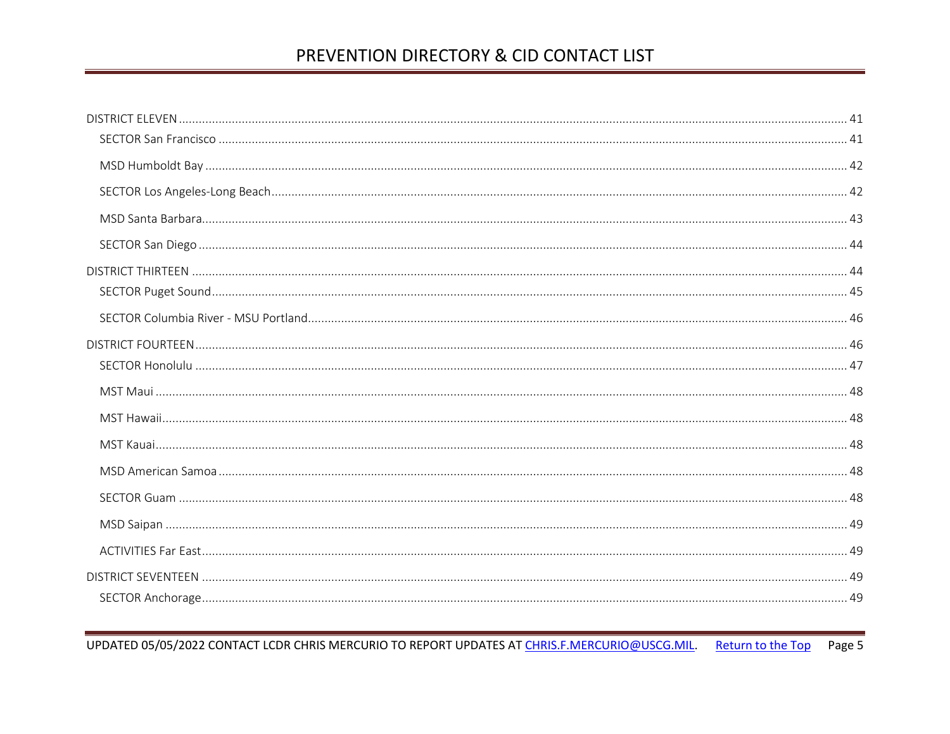UPDATED 05/05/2022 CONTACT LCDR CHRIS MERCURIO TO REPORT UPDATES AT CHRIS.F.MERCURIO@USCG.MIL. Return to the Top Page 5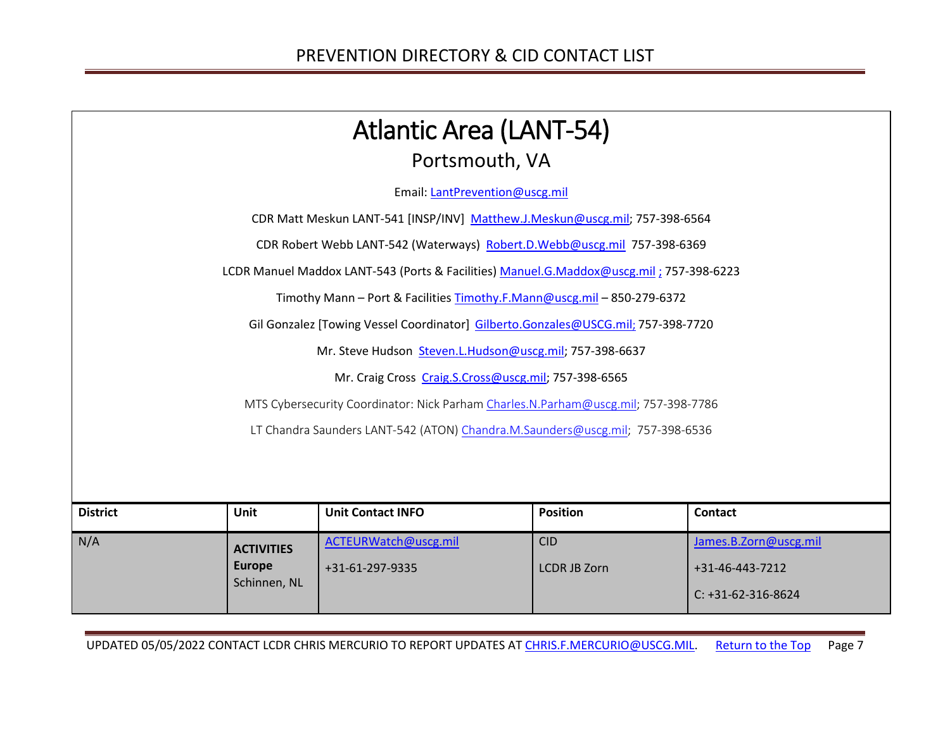<span id="page-6-0"></span>

|                                                                                    | <b>Atlantic Area (LANT-54)</b>     |                                                                                         |                     |                       |  |
|------------------------------------------------------------------------------------|------------------------------------|-----------------------------------------------------------------------------------------|---------------------|-----------------------|--|
|                                                                                    |                                    | Portsmouth, VA                                                                          |                     |                       |  |
|                                                                                    |                                    | Email: LantPrevention@uscg.mil                                                          |                     |                       |  |
|                                                                                    |                                    | CDR Matt Meskun LANT-541 [INSP/INV] Matthew.J.Meskun@uscg.mil; 757-398-6564             |                     |                       |  |
|                                                                                    |                                    | CDR Robert Webb LANT-542 (Waterways) Robert.D.Webb@uscg.mil 757-398-6369                |                     |                       |  |
|                                                                                    |                                    | LCDR Manuel Maddox LANT-543 (Ports & Facilities) Manuel.G.Maddox@uscg.mil; 757-398-6223 |                     |                       |  |
|                                                                                    |                                    | Timothy Mann - Port & Facilities Timothy.F.Mann@uscg.mil - 850-279-6372                 |                     |                       |  |
| Gil Gonzalez [Towing Vessel Coordinator] Gilberto.Gonzales@USCG.mil; 757-398-7720  |                                    |                                                                                         |                     |                       |  |
| Mr. Steve Hudson Steven.L.Hudson@uscg.mil; 757-398-6637                            |                                    |                                                                                         |                     |                       |  |
| Mr. Craig Cross Craig.S.Cross@uscg.mil; 757-398-6565                               |                                    |                                                                                         |                     |                       |  |
| MTS Cybersecurity Coordinator: Nick Parham Charles.N.Parham@uscg.mil; 757-398-7786 |                                    |                                                                                         |                     |                       |  |
|                                                                                    |                                    | LT Chandra Saunders LANT-542 (ATON) Chandra.M.Saunders@uscg.mil; 757-398-6536           |                     |                       |  |
|                                                                                    |                                    |                                                                                         |                     |                       |  |
|                                                                                    |                                    |                                                                                         |                     |                       |  |
| <b>District</b>                                                                    | <b>Unit</b>                        | <b>Unit Contact INFO</b>                                                                | <b>Position</b>     | <b>Contact</b>        |  |
| N/A                                                                                |                                    | ACTEURWatch@uscg.mil                                                                    | <b>CID</b>          | James.B.Zorn@uscg.mil |  |
|                                                                                    | <b>ACTIVITIES</b><br><b>Europe</b> |                                                                                         |                     |                       |  |
|                                                                                    | Schinnen, NL                       | +31-61-297-9335                                                                         | <b>LCDR JB Zorn</b> | +31-46-443-7212       |  |
|                                                                                    |                                    |                                                                                         |                     | $C: +31-62-316-8624$  |  |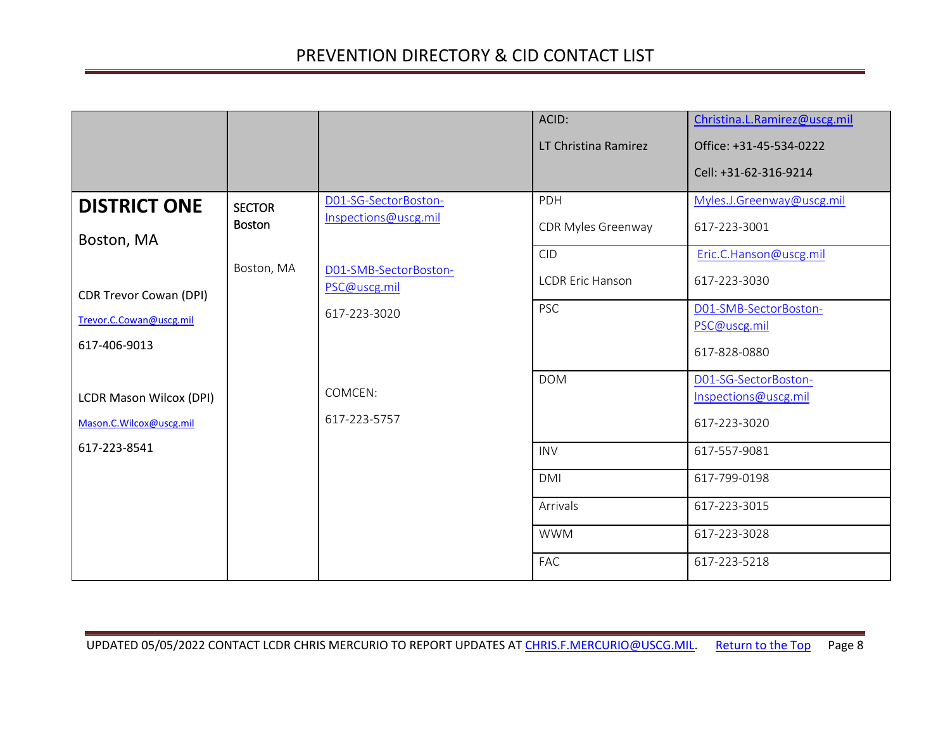<span id="page-7-1"></span><span id="page-7-0"></span>

|                                |               |                                       | ACID:                   | Christina.L.Ramirez@uscg.mil |
|--------------------------------|---------------|---------------------------------------|-------------------------|------------------------------|
|                                |               |                                       | LT Christina Ramirez    | Office: +31-45-534-0222      |
|                                |               |                                       |                         | Cell: +31-62-316-9214        |
| <b>DISTRICT ONE</b>            | <b>SECTOR</b> | D01-SG-SectorBoston-                  | PDH                     | Myles.J.Greenway@uscg.mil    |
|                                | <b>Boston</b> | Inspections@uscg.mil                  | CDR Myles Greenway      | 617-223-3001                 |
| Boston, MA                     |               |                                       | <b>CID</b>              | Eric.C.Hanson@uscg.mil       |
|                                | Boston, MA    | D01-SMB-SectorBoston-<br>PSC@uscg.mil | <b>LCDR Eric Hanson</b> | 617-223-3030                 |
| <b>CDR Trevor Cowan (DPI)</b>  |               | 617-223-3020                          | <b>PSC</b>              | D01-SMB-SectorBoston-        |
| Trevor.C.Cowan@uscg.mil        |               |                                       |                         | PSC@uscg.mil                 |
| 617-406-9013                   |               |                                       |                         | 617-828-0880                 |
|                                |               |                                       | <b>DOM</b>              | D01-SG-SectorBoston-         |
| <b>LCDR Mason Wilcox (DPI)</b> |               | COMCEN:                               |                         | Inspections@uscg.mil         |
| Mason.C.Wilcox@uscg.mil        |               | 617-223-5757                          |                         | 617-223-3020                 |
| 617-223-8541                   |               |                                       | <b>INV</b>              | 617-557-9081                 |
|                                |               |                                       | <b>DMI</b>              | 617-799-0198                 |
|                                |               |                                       | Arrivals                | 617-223-3015                 |
|                                |               |                                       | <b>WWM</b>              | 617-223-3028                 |
|                                |               |                                       | <b>FAC</b>              | 617-223-5218                 |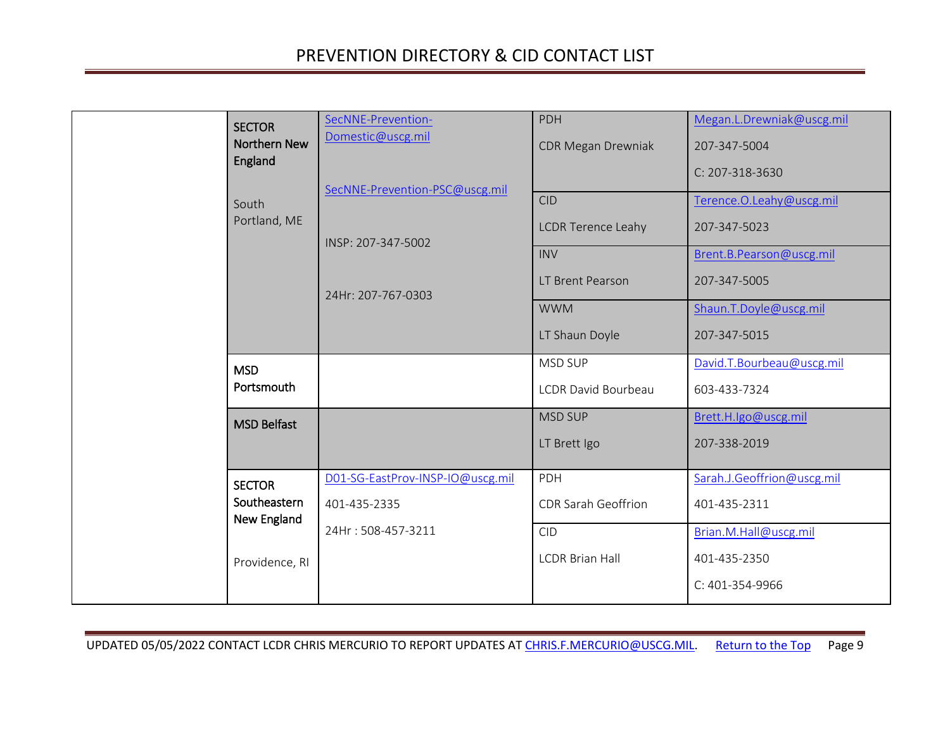<span id="page-8-3"></span><span id="page-8-2"></span><span id="page-8-1"></span><span id="page-8-0"></span>

| <b>SECTOR</b><br><b>Northern New</b><br>England | SecNNE-Prevention-<br>Domestic@uscg.mil<br>SecNNE-Prevention-PSC@uscg.mil | PDH<br><b>CDR Megan Drewniak</b>                      | Megan.L.Drewniak@uscg.mil<br>207-347-5004<br>C: 207-318-3630         |
|-------------------------------------------------|---------------------------------------------------------------------------|-------------------------------------------------------|----------------------------------------------------------------------|
| South<br>Portland, ME                           | INSP: 207-347-5002                                                        | <b>CID</b><br><b>LCDR Terence Leahy</b><br><b>INV</b> | Terence.O.Leahy@uscg.mil<br>207-347-5023<br>Brent.B.Pearson@uscg.mil |
|                                                 | 24Hr: 207-767-0303                                                        | LT Brent Pearson<br><b>WWM</b>                        | 207-347-5005<br>Shaun.T.Doyle@uscg.mil                               |
|                                                 |                                                                           | LT Shaun Doyle                                        | 207-347-5015                                                         |
| <b>MSD</b><br>Portsmouth                        |                                                                           | <b>MSD SUP</b><br>LCDR David Bourbeau                 | David.T.Bourbeau@uscg.mil<br>603-433-7324                            |
| <b>MSD Belfast</b>                              |                                                                           | <b>MSD SUP</b><br>LT Brett Igo                        | Brett.H.Igo@uscg.mil<br>207-338-2019                                 |
| <b>SECTOR</b><br>Southeastern<br>New England    | D01-SG-EastProv-INSP-IO@uscg.mil<br>401-435-2335                          | PDH<br>CDR Sarah Geoffrion                            | Sarah.J.Geoffrion@uscg.mil<br>401-435-2311                           |
| Providence, RI                                  | 24Hr: 508-457-3211                                                        | <b>CID</b><br><b>LCDR Brian Hall</b>                  | Brian.M.Hall@uscg.mil<br>401-435-2350<br>C: 401-354-9966             |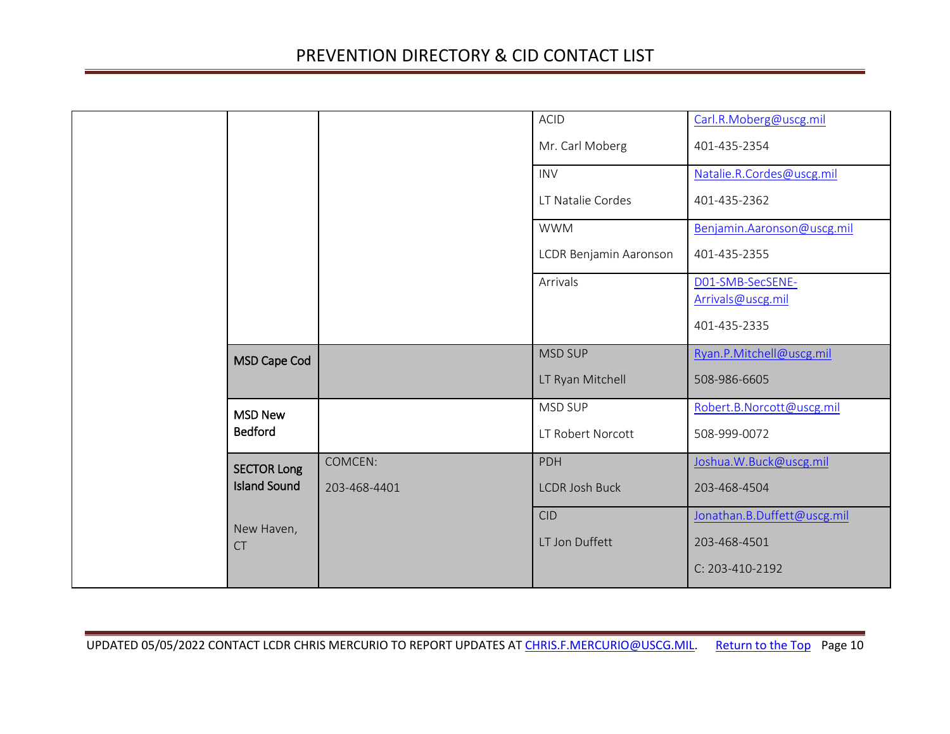<span id="page-9-2"></span><span id="page-9-1"></span><span id="page-9-0"></span>

|                                           |                         | <b>ACID</b><br>Mr. Carl Moberg       | Carl.R.Moberg@uscg.mil<br>401-435-2354                         |
|-------------------------------------------|-------------------------|--------------------------------------|----------------------------------------------------------------|
|                                           |                         | <b>INV</b><br>LT Natalie Cordes      | Natalie.R.Cordes@uscg.mil<br>401-435-2362                      |
|                                           |                         | <b>WWM</b><br>LCDR Benjamin Aaronson | Benjamin.Aaronson@uscg.mil<br>401-435-2355                     |
|                                           |                         | Arrivals                             | D01-SMB-SecSENE-<br>Arrivals@uscg.mil<br>401-435-2335          |
| MSD Cape Cod                              |                         | <b>MSD SUP</b><br>LT Ryan Mitchell   | Ryan.P.Mitchell@uscg.mil<br>508-986-6605                       |
| <b>MSD New</b><br><b>Bedford</b>          |                         | MSD SUP<br>LT Robert Norcott         | Robert.B.Norcott@uscg.mil<br>508-999-0072                      |
| <b>SECTOR Long</b><br><b>Island Sound</b> | COMCEN:<br>203-468-4401 | <b>PDH</b><br><b>LCDR Josh Buck</b>  | Joshua.W.Buck@uscg.mil<br>203-468-4504                         |
| New Haven,<br><b>CT</b>                   |                         | <b>CID</b><br>LT Jon Duffett         | Jonathan.B.Duffett@uscg.mil<br>203-468-4501<br>C: 203-410-2192 |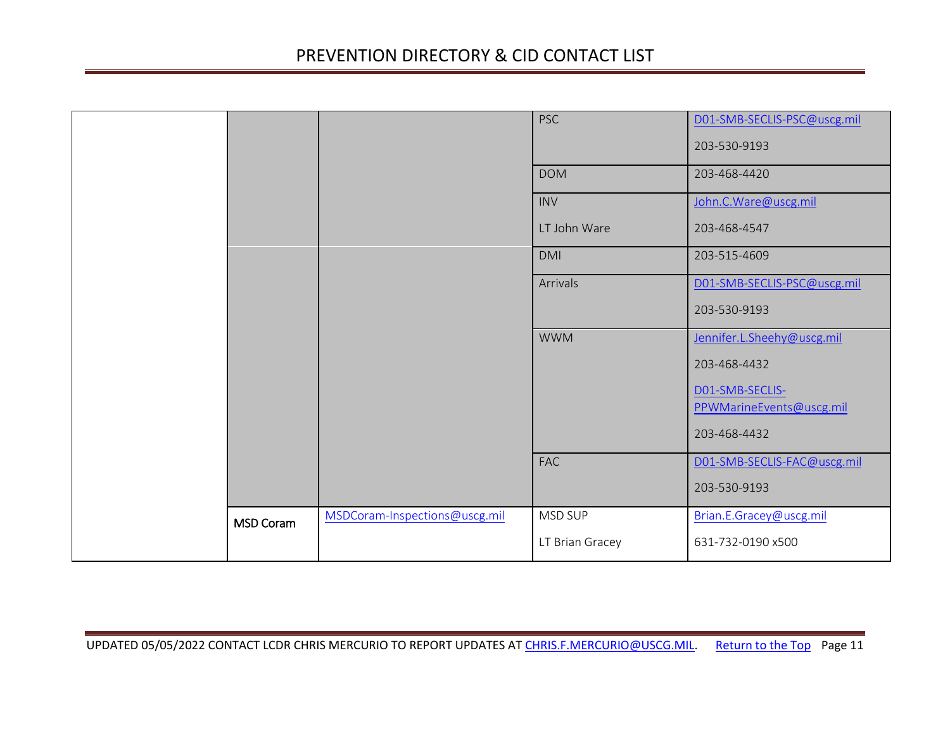<span id="page-10-0"></span>

|                  |                               | <b>PSC</b>      | D01-SMB-SECLIS-PSC@uscg.mil<br>203-530-9193 |
|------------------|-------------------------------|-----------------|---------------------------------------------|
|                  |                               | <b>DOM</b>      | 203-468-4420                                |
|                  |                               | <b>INV</b>      | John.C.Ware@uscg.mil                        |
|                  |                               | LT John Ware    | 203-468-4547                                |
|                  |                               | <b>DMI</b>      | 203-515-4609                                |
|                  |                               | Arrivals        | D01-SMB-SECLIS-PSC@uscg.mil                 |
|                  |                               |                 | 203-530-9193                                |
|                  |                               | <b>WWM</b>      | Jennifer.L.Sheehy@uscg.mil                  |
|                  |                               |                 | 203-468-4432                                |
|                  |                               |                 | DO1-SMB-SECLIS-<br>PPWMarineEvents@uscg.mil |
|                  |                               |                 | 203-468-4432                                |
|                  |                               | <b>FAC</b>      | D01-SMB-SECLIS-FAC@uscg.mil                 |
|                  |                               |                 |                                             |
|                  |                               |                 | 203-530-9193                                |
| <b>MSD Coram</b> | MSDCoram-Inspections@uscg.mil | MSD SUP         | Brian.E.Gracey@uscg.mil                     |
|                  |                               | LT Brian Gracey | 631-732-0190 x500                           |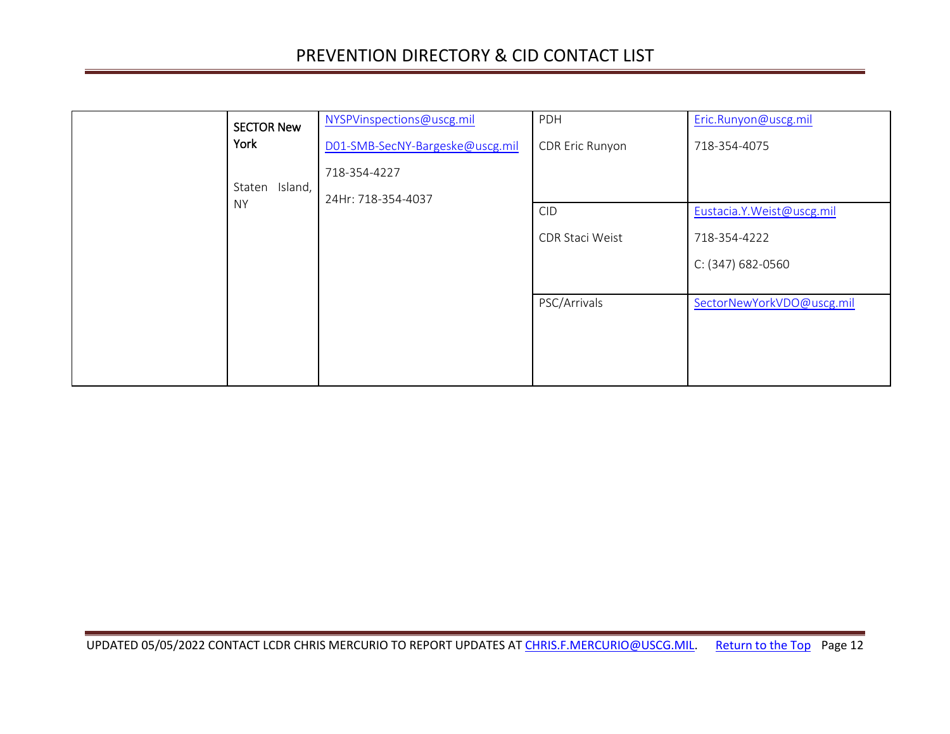<span id="page-11-0"></span>

| <b>SECTOR New</b>              | NYSPVinspections@uscg.mil       | PDH             | Eric.Runyon@uscg.mil      |
|--------------------------------|---------------------------------|-----------------|---------------------------|
| York                           | D01-SMB-SecNY-Bargeske@uscg.mil | CDR Eric Runyon | 718-354-4075              |
|                                | 718-354-4227                    |                 |                           |
| Island,<br>Staten<br><b>NY</b> | 24Hr: 718-354-4037              |                 |                           |
|                                |                                 | <b>CID</b>      | Eustacia.Y.Weist@uscg.mil |
|                                |                                 | CDR Staci Weist | 718-354-4222              |
|                                |                                 |                 | C: (347) 682-0560         |
|                                |                                 |                 |                           |
|                                |                                 | PSC/Arrivals    | SectorNewYorkVDO@uscg.mil |
|                                |                                 |                 |                           |
|                                |                                 |                 |                           |
|                                |                                 |                 |                           |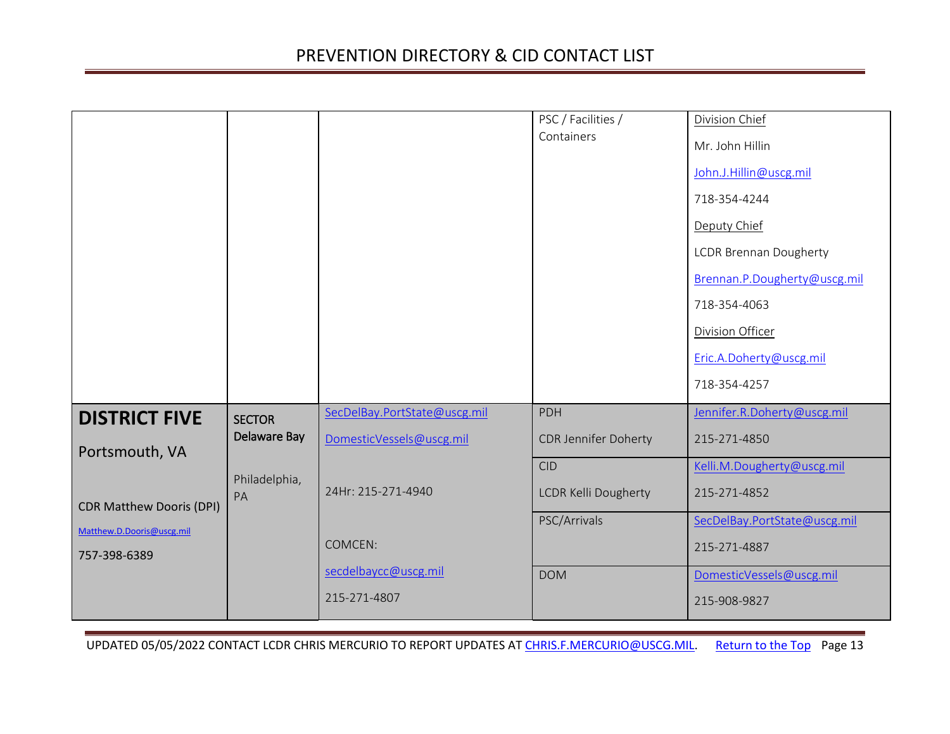<span id="page-12-1"></span><span id="page-12-0"></span>

|                                 |               |                              | PSC / Facilities /          | <b>Division Chief</b>         |
|---------------------------------|---------------|------------------------------|-----------------------------|-------------------------------|
|                                 |               |                              | Containers                  | Mr. John Hillin               |
|                                 |               |                              |                             | John.J.Hillin@uscg.mil        |
|                                 |               |                              |                             | 718-354-4244                  |
|                                 |               |                              |                             | Deputy Chief                  |
|                                 |               |                              |                             | <b>LCDR Brennan Dougherty</b> |
|                                 |               |                              |                             | Brennan.P.Dougherty@uscg.mil  |
|                                 |               |                              |                             | 718-354-4063                  |
|                                 |               |                              |                             | <b>Division Officer</b>       |
|                                 |               |                              |                             | Eric.A.Doherty@uscg.mil       |
|                                 |               |                              |                             | 718-354-4257                  |
| <b>DISTRICT FIVE</b>            | <b>SECTOR</b> | SecDelBay.PortState@uscg.mil | <b>PDH</b>                  | Jennifer.R.Doherty@uscg.mil   |
| Portsmouth, VA                  | Delaware Bay  | DomesticVessels@uscg.mil     | <b>CDR Jennifer Doherty</b> | 215-271-4850                  |
|                                 | Philadelphia, |                              | <b>CID</b>                  | Kelli.M.Dougherty@uscg.mil    |
| <b>CDR Matthew Dooris (DPI)</b> | PA            | 24Hr: 215-271-4940           | <b>LCDR Kelli Dougherty</b> | 215-271-4852                  |
| Matthew.D.Dooris@uscg.mil       |               |                              | PSC/Arrivals                | SecDelBay.PortState@uscg.mil  |
| 757-398-6389                    |               | COMCEN:                      |                             | 215-271-4887                  |
|                                 |               | secdelbaycc@uscg.mil         | <b>DOM</b>                  | DomesticVessels@uscg.mil      |
|                                 |               | 215-271-4807                 |                             | 215-908-9827                  |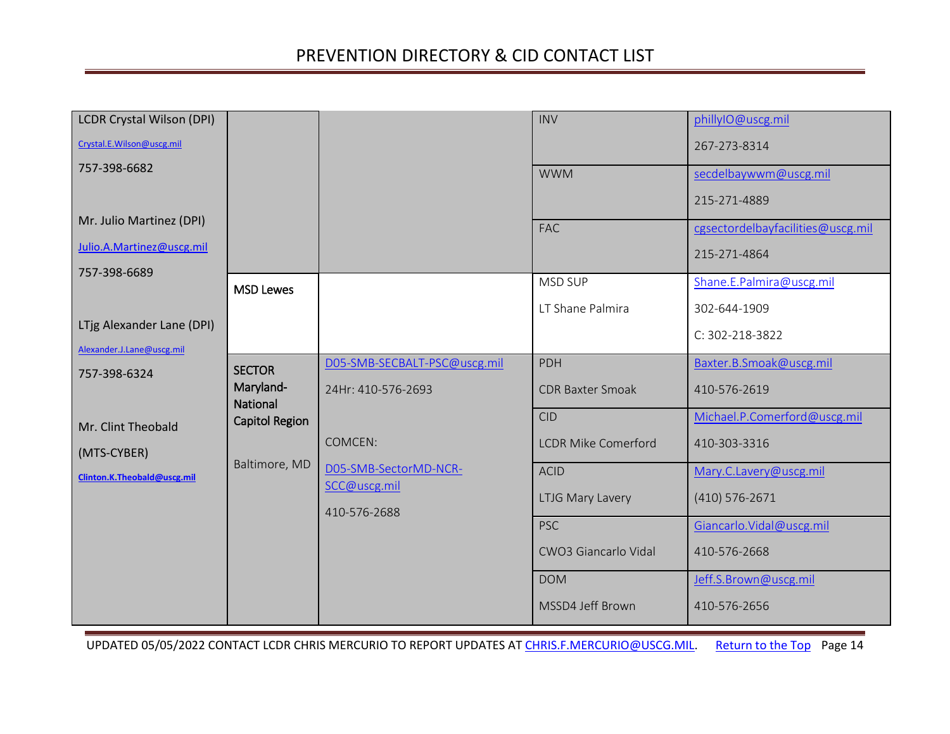<span id="page-13-1"></span><span id="page-13-0"></span>

| <b>LCDR Crystal Wilson (DPI)</b> |                       |                              | <b>INV</b>                 | phillyIO@uscg.mil                 |
|----------------------------------|-----------------------|------------------------------|----------------------------|-----------------------------------|
| Crystal.E.Wilson@uscg.mil        |                       |                              |                            | 267-273-8314                      |
| 757-398-6682                     |                       |                              | <b>WWM</b>                 | secdelbaywwm@uscg.mil             |
|                                  |                       |                              |                            | 215-271-4889                      |
| Mr. Julio Martinez (DPI)         |                       |                              | <b>FAC</b>                 | cgsectordelbayfacilities@uscg.mil |
| Julio.A.Martinez@uscg.mil        |                       |                              |                            | 215-271-4864                      |
| 757-398-6689                     |                       |                              | MSD SUP                    | Shane.E.Palmira@uscg.mil          |
|                                  | <b>MSD Lewes</b>      |                              |                            |                                   |
| LTjg Alexander Lane (DPI)        |                       |                              | LT Shane Palmira           | 302-644-1909                      |
|                                  |                       |                              |                            | C: 302-218-3822                   |
| Alexander.J.Lane@uscg.mil        | <b>SECTOR</b>         | D05-SMB-SECBALT-PSC@uscg.mil | PDH                        | Baxter.B.Smoak@uscg.mil           |
| 757-398-6324                     | Maryland-<br>National | 24Hr: 410-576-2693           | <b>CDR Baxter Smoak</b>    | 410-576-2619                      |
| Mr. Clint Theobald               | Capitol Region        |                              | <b>CID</b>                 | Michael.P.Comerford@uscg.mil      |
| (MTS-CYBER)                      |                       | COMCEN:                      | <b>LCDR Mike Comerford</b> | 410-303-3316                      |
| Clinton.K.Theobald@uscg.mil      | Baltimore, MD         | D05-SMB-SectorMD-NCR-        | <b>ACID</b>                | Mary.C.Lavery@uscg.mil            |
|                                  |                       | SCC@uscg.mil                 | LTJG Mary Lavery           | $(410) 576 - 2671$                |
|                                  |                       | 410-576-2688                 | <b>PSC</b>                 | Giancarlo. Vidal@uscg.mil         |
|                                  |                       |                              | CWO3 Giancarlo Vidal       | 410-576-2668                      |
|                                  |                       |                              | <b>DOM</b>                 | Jeff.S.Brown@uscg.mil             |
|                                  |                       |                              | MSSD4 Jeff Brown           | 410-576-2656                      |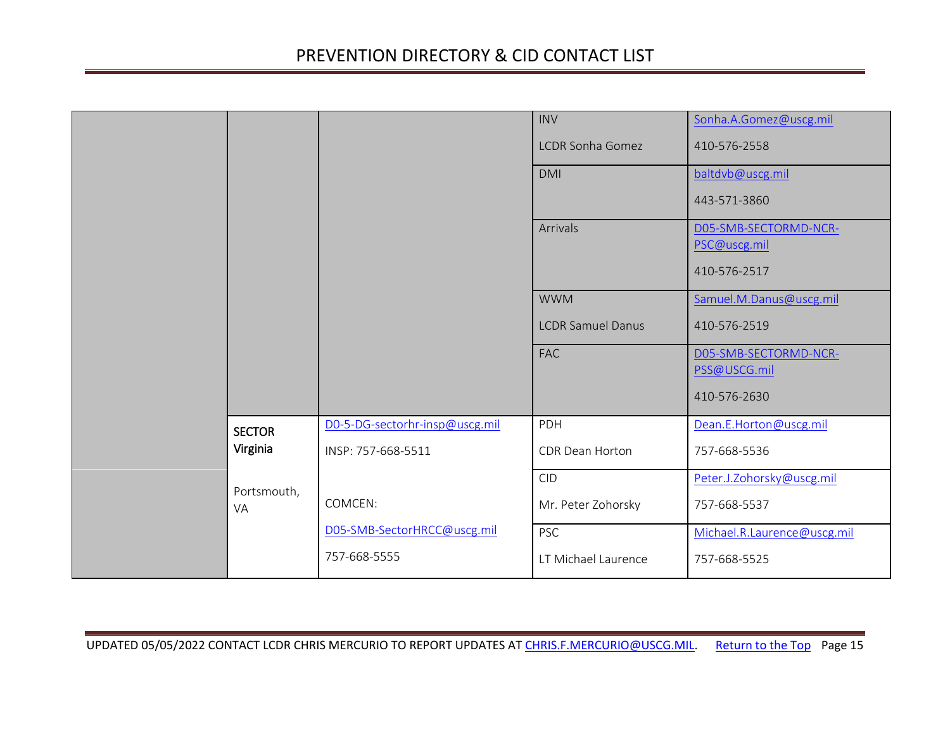<span id="page-14-0"></span>

|                           |                                                      | <b>INV</b><br><b>LCDR Sonha Gomez</b><br><b>DMI</b> | Sonha.A.Gomez@uscg.mil<br>410-576-2558<br>baltdvb@uscg.mil            |
|---------------------------|------------------------------------------------------|-----------------------------------------------------|-----------------------------------------------------------------------|
|                           |                                                      | Arrivals                                            | 443-571-3860<br>D05-SMB-SECTORMD-NCR-<br>PSC@uscg.mil<br>410-576-2517 |
|                           |                                                      | <b>WWM</b><br><b>LCDR Samuel Danus</b>              | Samuel.M.Danus@uscg.mil<br>410-576-2519                               |
|                           |                                                      | <b>FAC</b>                                          | D05-SMB-SECTORMD-NCR-<br>PSS@USCG.mil<br>410-576-2630                 |
| <b>SECTOR</b><br>Virginia | D0-5-DG-sectorhr-insp@uscg.mil<br>INSP: 757-668-5511 | PDH<br>CDR Dean Horton                              | Dean.E.Horton@uscg.mil<br>757-668-5536                                |
| Portsmouth,<br>VA         | COMCEN:                                              | <b>CID</b><br>Mr. Peter Zohorsky                    | Peter.J.Zohorsky@uscg.mil<br>757-668-5537                             |
|                           | D05-SMB-SectorHRCC@uscg.mil<br>757-668-5555          | <b>PSC</b><br>LT Michael Laurence                   | Michael.R.Laurence@uscg.mil<br>757-668-5525                           |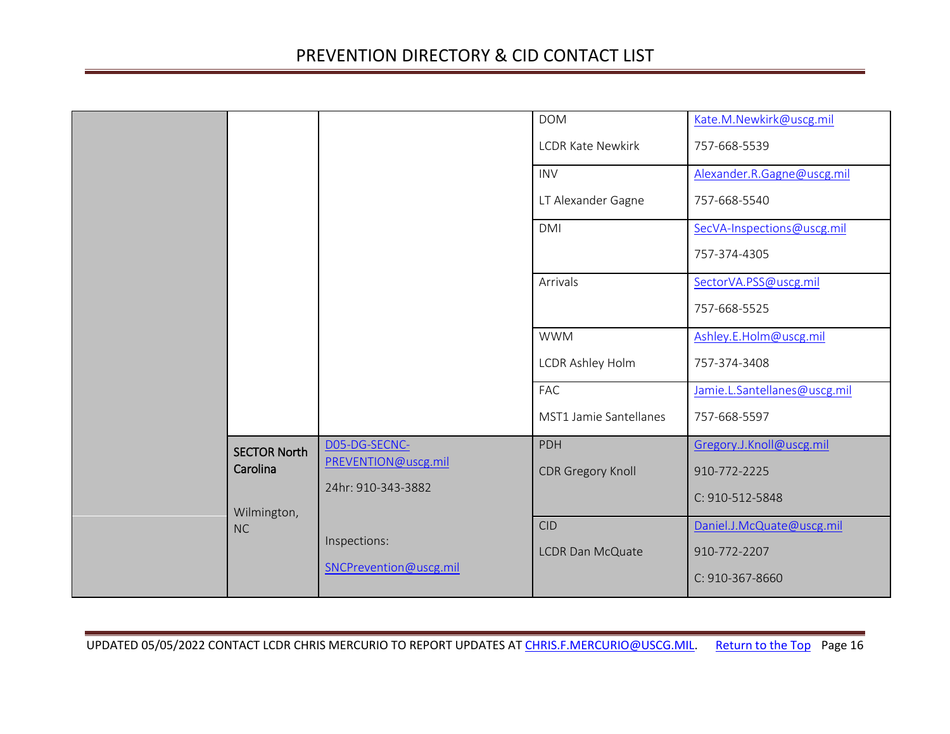<span id="page-15-0"></span>

|                     |                        | <b>DOM</b>               | Kate.M.Newkirk@uscg.mil      |
|---------------------|------------------------|--------------------------|------------------------------|
|                     |                        | <b>LCDR Kate Newkirk</b> | 757-668-5539                 |
|                     |                        | <b>INV</b>               | Alexander.R.Gagne@uscg.mil   |
|                     |                        | LT Alexander Gagne       | 757-668-5540                 |
|                     |                        | <b>DMI</b>               | SecVA-Inspections@uscg.mil   |
|                     |                        |                          | 757-374-4305                 |
|                     |                        | Arrivals                 | SectorVA.PSS@uscg.mil        |
|                     |                        |                          | 757-668-5525                 |
|                     |                        | <b>WWM</b>               | Ashley.E.Holm@uscg.mil       |
|                     |                        | LCDR Ashley Holm         | 757-374-3408                 |
|                     |                        | <b>FAC</b>               | Jamie.L.Santellanes@uscg.mil |
|                     |                        | MST1 Jamie Santellanes   | 757-668-5597                 |
| <b>SECTOR North</b> | D05-DG-SECNC-          | PDH                      | Gregory.J.Knoll@uscg.mil     |
| Carolina            | PREVENTION@uscg.mil    | <b>CDR Gregory Knoll</b> | 910-772-2225                 |
| Wilmington,         | 24hr: 910-343-3882     |                          | C: 910-512-5848              |
| <b>NC</b>           |                        | <b>CID</b>               | Daniel.J.McQuate@uscg.mil    |
|                     | Inspections:           | <b>LCDR Dan McQuate</b>  | 910-772-2207                 |
|                     | SNCPrevention@uscg.mil |                          | C: 910-367-8660              |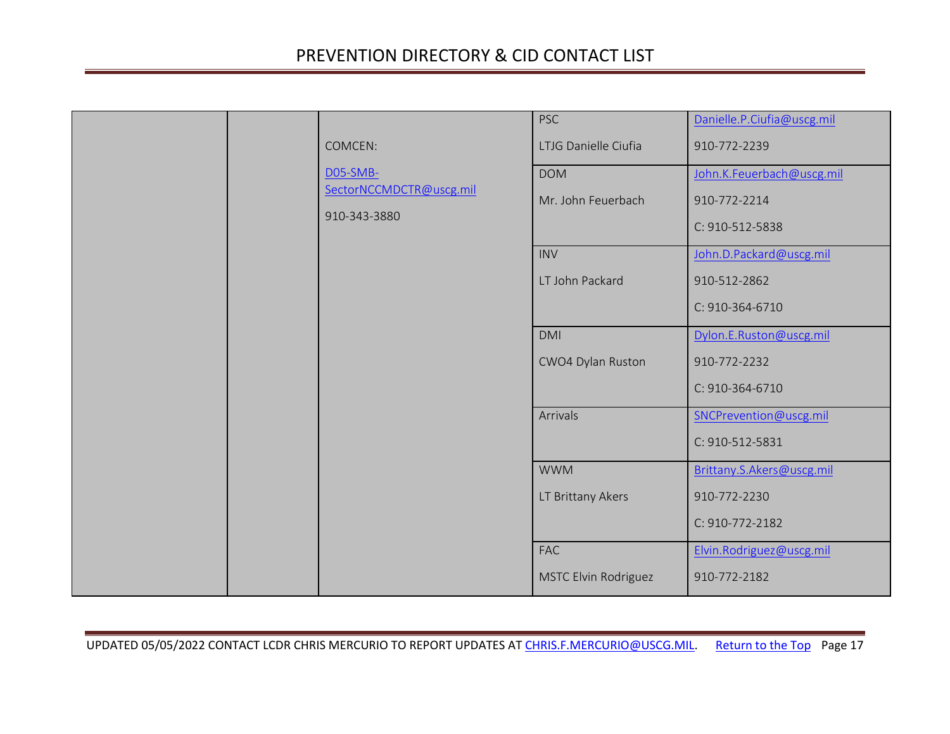|  |                                                     | <b>PSC</b>                                                        | Danielle.P.Ciufia@uscg.mil                                                                              |
|--|-----------------------------------------------------|-------------------------------------------------------------------|---------------------------------------------------------------------------------------------------------|
|  | COMCEN:                                             | LTJG Danielle Ciufia                                              | 910-772-2239                                                                                            |
|  | D05-SMB-<br>SectorNCCMDCTR@uscg.mil<br>910-343-3880 | <b>DOM</b><br>Mr. John Feuerbach<br><b>INV</b><br>LT John Packard | John.K.Feuerbach@uscg.mil<br>910-772-2214<br>C: 910-512-5838<br>John.D.Packard@uscg.mil<br>910-512-2862 |
|  |                                                     |                                                                   | C: 910-364-6710                                                                                         |
|  |                                                     | <b>DMI</b>                                                        | Dylon.E.Ruston@uscg.mil                                                                                 |
|  |                                                     | CWO4 Dylan Ruston                                                 | 910-772-2232<br>C: 910-364-6710                                                                         |
|  |                                                     | Arrivals                                                          | SNCPrevention@uscg.mil<br>C: 910-512-5831                                                               |
|  |                                                     | <b>WWM</b>                                                        | Brittany.S.Akers@uscg.mil                                                                               |
|  |                                                     | LT Brittany Akers                                                 | 910-772-2230                                                                                            |
|  |                                                     |                                                                   | C: 910-772-2182                                                                                         |
|  |                                                     | <b>FAC</b>                                                        | Elvin.Rodriguez@uscg.mil                                                                                |
|  |                                                     | MSTC Elvin Rodriguez                                              | 910-772-2182                                                                                            |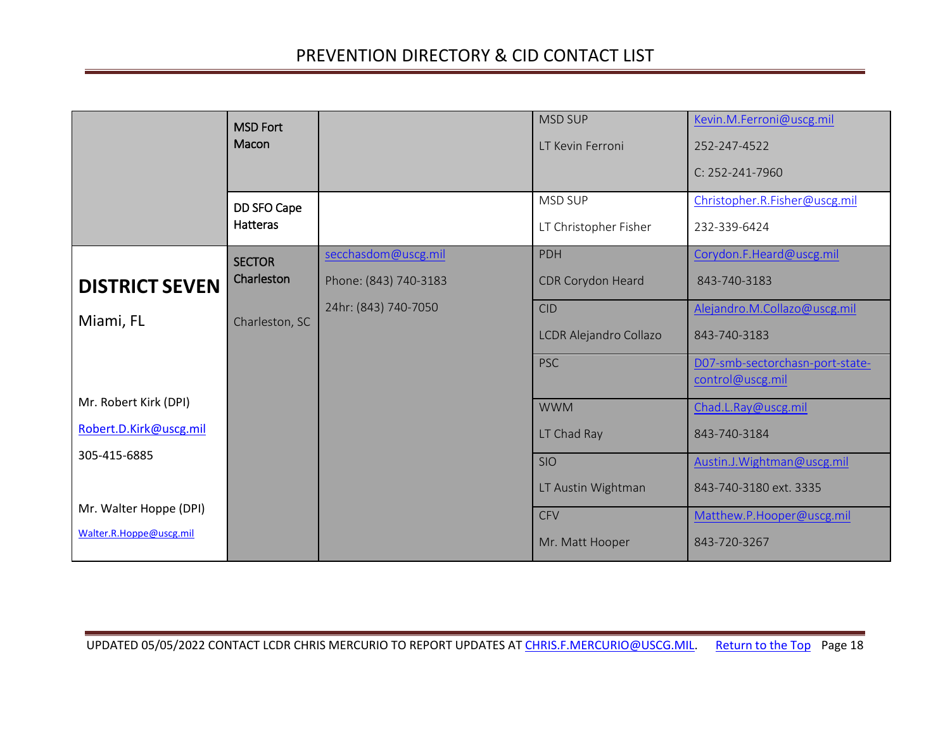<span id="page-17-3"></span><span id="page-17-2"></span><span id="page-17-1"></span><span id="page-17-0"></span>

|                         | <b>MSD Fort</b> |                       | <b>MSD SUP</b>         | Kevin.M.Ferroni@uscg.mil                            |
|-------------------------|-----------------|-----------------------|------------------------|-----------------------------------------------------|
|                         | Macon           |                       | LT Kevin Ferroni       | 252-247-4522                                        |
|                         |                 |                       |                        | C: 252-241-7960                                     |
|                         | DD SFO Cape     |                       | <b>MSD SUP</b>         | Christopher.R.Fisher@uscg.mil                       |
|                         | <b>Hatteras</b> |                       | LT Christopher Fisher  | 232-339-6424                                        |
|                         | <b>SECTOR</b>   | secchasdom@uscg.mil   | <b>PDH</b>             | Corydon.F.Heard@uscg.mil                            |
| <b>DISTRICT SEVEN</b>   | Charleston      | Phone: (843) 740-3183 | CDR Corydon Heard      | 843-740-3183                                        |
| Miami, FL               | Charleston, SC  | 24hr: (843) 740-7050  | <b>CID</b>             | Alejandro.M.Collazo@uscg.mil                        |
|                         |                 |                       | LCDR Alejandro Collazo | 843-740-3183                                        |
|                         |                 |                       | <b>PSC</b>             | D07-smb-sectorchasn-port-state-<br>control@uscg.mil |
| Mr. Robert Kirk (DPI)   |                 |                       |                        |                                                     |
|                         |                 |                       | <b>WWM</b>             | Chad.L.Ray@uscg.mil                                 |
| Robert.D.Kirk@uscg.mil  |                 |                       | LT Chad Ray            | 843-740-3184                                        |
| 305-415-6885            |                 |                       | <b>SIO</b>             | Austin.J. Wightman@uscg.mil                         |
|                         |                 |                       | LT Austin Wightman     | 843-740-3180 ext. 3335                              |
| Mr. Walter Hoppe (DPI)  |                 |                       | <b>CFV</b>             | Matthew.P.Hooper@uscg.mil                           |
| Walter.R.Hoppe@uscg.mil |                 |                       | Mr. Matt Hooper        | 843-720-3267                                        |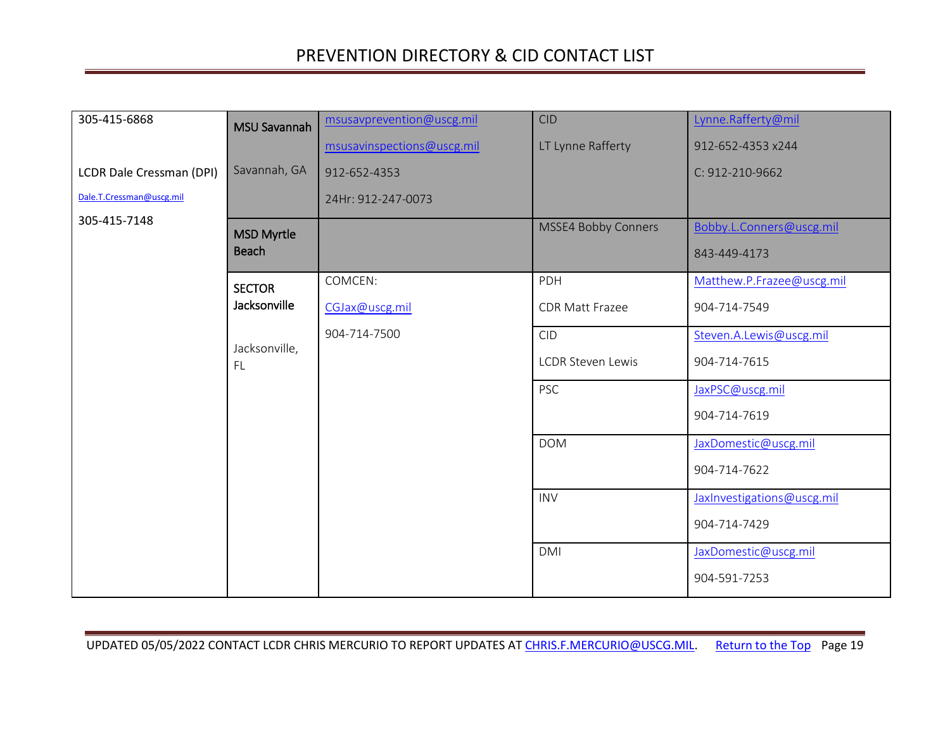<span id="page-18-2"></span><span id="page-18-1"></span><span id="page-18-0"></span>

| 305-415-6868             | <b>MSU Savannah</b> | msusavprevention@uscg.mil  | <b>CID</b>                 | Lynne.Rafferty@mil         |
|--------------------------|---------------------|----------------------------|----------------------------|----------------------------|
|                          |                     | msusavinspections@uscg.mil | LT Lynne Rafferty          | 912-652-4353 x244          |
| LCDR Dale Cressman (DPI) | Savannah, GA        | 912-652-4353               |                            | C: 912-210-9662            |
| Dale.T.Cressman@uscg.mil |                     | 24Hr: 912-247-0073         |                            |                            |
| 305-415-7148             | <b>MSD Myrtle</b>   |                            | <b>MSSE4 Bobby Conners</b> | Bobby.L.Conners@uscg.mil   |
|                          | <b>Beach</b>        |                            |                            | 843-449-4173               |
|                          | <b>SECTOR</b>       | COMCEN:                    | PDH                        | Matthew.P.Frazee@uscg.mil  |
|                          | Jacksonville        | CGJax@uscg.mil             | <b>CDR Matt Frazee</b>     | 904-714-7549               |
|                          |                     | 904-714-7500               | <b>CID</b>                 | Steven.A.Lewis@uscg.mil    |
|                          | Jacksonville,<br>FL |                            | <b>LCDR Steven Lewis</b>   | 904-714-7615               |
|                          |                     |                            | <b>PSC</b>                 | JaxPSC@uscg.mil            |
|                          |                     |                            |                            | 904-714-7619               |
|                          |                     |                            | <b>DOM</b>                 | JaxDomestic@uscg.mil       |
|                          |                     |                            |                            | 904-714-7622               |
|                          |                     |                            | <b>INV</b>                 | JaxInvestigations@uscg.mil |
|                          |                     |                            |                            | 904-714-7429               |
|                          |                     |                            | <b>DMI</b>                 | JaxDomestic@uscg.mil       |
|                          |                     |                            |                            | 904-591-7253               |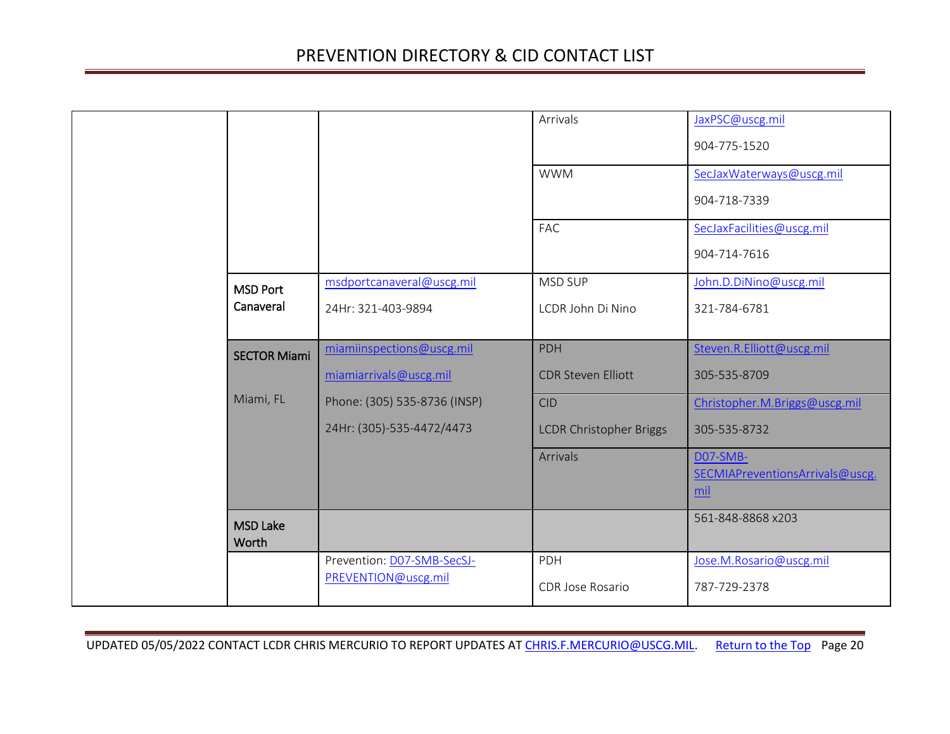<span id="page-19-2"></span><span id="page-19-1"></span><span id="page-19-0"></span>

|                          |                              | Arrivals                       | JaxPSC@uscg.mil<br>904-775-1520                    |
|--------------------------|------------------------------|--------------------------------|----------------------------------------------------|
|                          |                              | <b>WWM</b>                     | SecJaxWaterways@uscg.mil<br>904-718-7339           |
|                          |                              | <b>FAC</b>                     | SecJaxFacilities@uscg.mil<br>904-714-7616          |
| <b>MSD Port</b>          | msdportcanaveral@uscg.mil    | MSD SUP                        | John.D.DiNino@uscg.mil                             |
| Canaveral                | 24Hr: 321-403-9894           | LCDR John Di Nino              | 321-784-6781                                       |
| <b>SECTOR Miami</b>      | miamiinspections@uscg.mil    | <b>PDH</b>                     | Steven.R.Elliott@uscg.mil                          |
|                          | miamiarrivals@uscg.mil       | <b>CDR Steven Elliott</b>      | 305-535-8709                                       |
| Miami, FL                | Phone: (305) 535-8736 (INSP) | <b>CID</b>                     | Christopher.M.Briggs@uscg.mil                      |
|                          | 24Hr: (305)-535-4472/4473    | <b>LCDR Christopher Briggs</b> | 305-535-8732                                       |
|                          |                              | <b>Arrivals</b>                | DO7-SMB-<br>SECMIAPreventionsArrivals@uscg.<br>mil |
| <b>MSD Lake</b><br>Worth |                              |                                | 561-848-8868 x203                                  |
|                          | Prevention: D07-SMB-SecSJ-   | PDH                            | Jose.M.Rosario@uscg.mil                            |
|                          | PREVENTION@uscg.mil          | CDR Jose Rosario               | 787-729-2378                                       |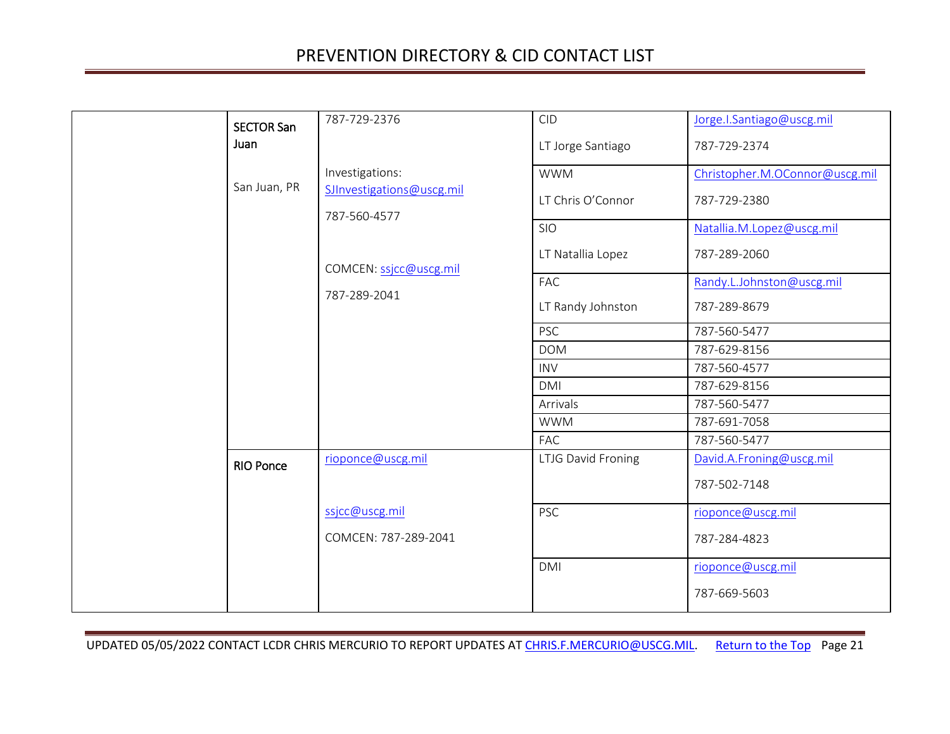<span id="page-20-1"></span><span id="page-20-0"></span>

| <b>SECTOR San</b><br>Juan | 787-729-2376                              | <b>CID</b><br>LT Jorge Santiago      | Jorge.I.Santiago@uscg.mil<br>787-729-2374    |
|---------------------------|-------------------------------------------|--------------------------------------|----------------------------------------------|
|                           | Investigations:                           | <b>WWM</b>                           | Christopher.M.OConnor@uscg.mil               |
| San Juan, PR              | SJInvestigations@uscg.mil<br>787-560-4577 | LT Chris O'Connor                    | 787-729-2380                                 |
|                           |                                           | <b>SIO</b><br>LT Natallia Lopez      | Natallia.M.Lopez@uscg.mil<br>787-289-2060    |
|                           | COMCEN: ssjcc@uscg.mil<br>787-289-2041    | FAC                                  | Randy.L.Johnston@uscg.mil                    |
|                           |                                           | LT Randy Johnston                    | 787-289-8679                                 |
|                           |                                           | <b>PSC</b><br><b>DOM</b>             | 787-560-5477<br>787-629-8156                 |
|                           |                                           | <b>INV</b><br>DMI                    | 787-560-4577<br>787-629-8156                 |
|                           |                                           | Arrivals<br><b>WWM</b><br><b>FAC</b> | 787-560-5477<br>787-691-7058<br>787-560-5477 |
| <b>RIO Ponce</b>          | rioponce@uscg.mil                         | LTJG David Froning                   | David.A.Froning@uscg.mil<br>787-502-7148     |
|                           | ssjcc@uscg.mil<br>COMCEN: 787-289-2041    | <b>PSC</b>                           | rioponce@uscg.mil<br>787-284-4823            |
|                           |                                           | <b>DMI</b>                           | rioponce@uscg.mil<br>787-669-5603            |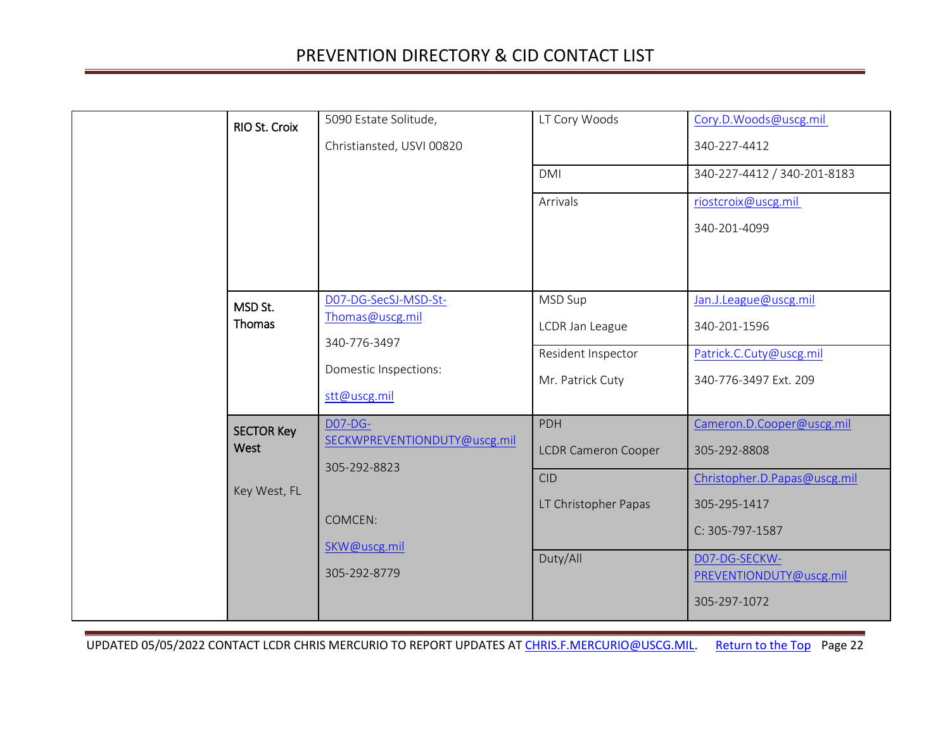<span id="page-21-2"></span><span id="page-21-1"></span><span id="page-21-0"></span>

| RIO St. Croix                             | 5090 Estate Solitude,<br>Christiansted, USVI 00820                                                        | LT Cory Woods<br><b>DMI</b><br>Arrivals                                             | Cory.D.Woods@uscg.mil<br>340-227-4412<br>340-227-4412 / 340-201-8183<br>riostcroix@uscg.mil<br>340-201-4099                                                              |
|-------------------------------------------|-----------------------------------------------------------------------------------------------------------|-------------------------------------------------------------------------------------|--------------------------------------------------------------------------------------------------------------------------------------------------------------------------|
| MSD St.<br>Thomas                         | D07-DG-SecSJ-MSD-St-<br>Thomas@uscg.mil<br>340-776-3497<br>Domestic Inspections:<br>stt@uscg.mil          | MSD Sup<br>LCDR Jan League<br>Resident Inspector<br>Mr. Patrick Cuty                | Jan.J.League@uscg.mil<br>340-201-1596<br>Patrick.C.Cuty@uscg.mil<br>340-776-3497 Ext. 209                                                                                |
| <b>SECTOR Key</b><br>West<br>Key West, FL | <b>D07-DG-</b><br>SECKWPREVENTIONDUTY@uscg.mil<br>305-292-8823<br>COMCEN:<br>SKW@uscg.mil<br>305-292-8779 | PDH<br><b>LCDR Cameron Cooper</b><br><b>CID</b><br>LT Christopher Papas<br>Duty/All | Cameron.D.Cooper@uscg.mil<br>305-292-8808<br>Christopher.D.Papas@uscg.mil<br>305-295-1417<br>C: 305-797-1587<br>D07-DG-SECKW-<br>PREVENTIONDUTY@uscg.mil<br>305-297-1072 |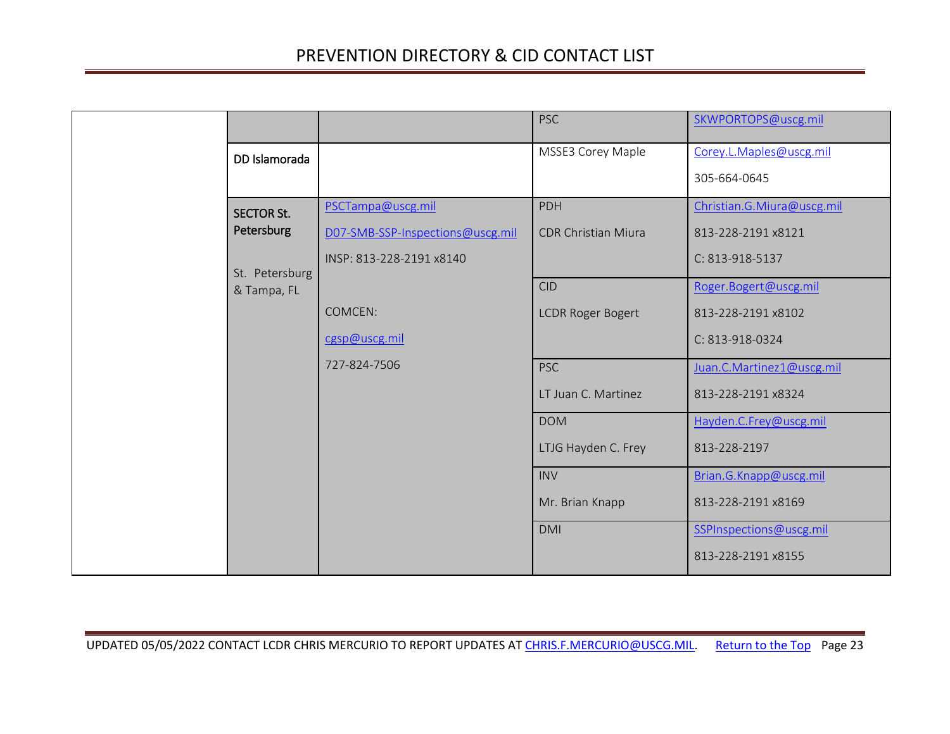<span id="page-22-1"></span><span id="page-22-0"></span>

|                   |                                  | <b>PSC</b>                 | SKWPORTOPS@uscg.mil        |
|-------------------|----------------------------------|----------------------------|----------------------------|
| DD Islamorada     |                                  | MSSE3 Corey Maple          | Corey.L.Maples@uscg.mil    |
|                   |                                  |                            | 305-664-0645               |
| <b>SECTOR St.</b> | PSCTampa@uscg.mil                | PDH                        | Christian.G.Miura@uscg.mil |
| Petersburg        | D07-SMB-SSP-Inspections@uscg.mil | <b>CDR Christian Miura</b> | 813-228-2191 x8121         |
| St. Petersburg    | INSP: 813-228-2191 x8140         |                            | C: 813-918-5137            |
| & Tampa, FL       |                                  | <b>CID</b>                 | Roger.Bogert@uscg.mil      |
|                   | COMCEN:                          | <b>LCDR Roger Bogert</b>   | 813-228-2191 x8102         |
|                   | cgsp@uscg.mil                    |                            | C: 813-918-0324            |
|                   | 727-824-7506                     | <b>PSC</b>                 | Juan.C.Martinez1@uscg.mil  |
|                   |                                  | LT Juan C. Martinez        | 813-228-2191 x8324         |
|                   |                                  | <b>DOM</b>                 | Hayden.C.Frey@uscg.mil     |
|                   |                                  | LTJG Hayden C. Frey        | 813-228-2197               |
|                   |                                  | <b>INV</b>                 | Brian.G.Knapp@uscg.mil     |
|                   |                                  | Mr. Brian Knapp            | 813-228-2191 x8169         |
|                   |                                  | <b>DMI</b>                 | SSPInspections@uscg.mil    |
|                   |                                  |                            | 813-228-2191 x8155         |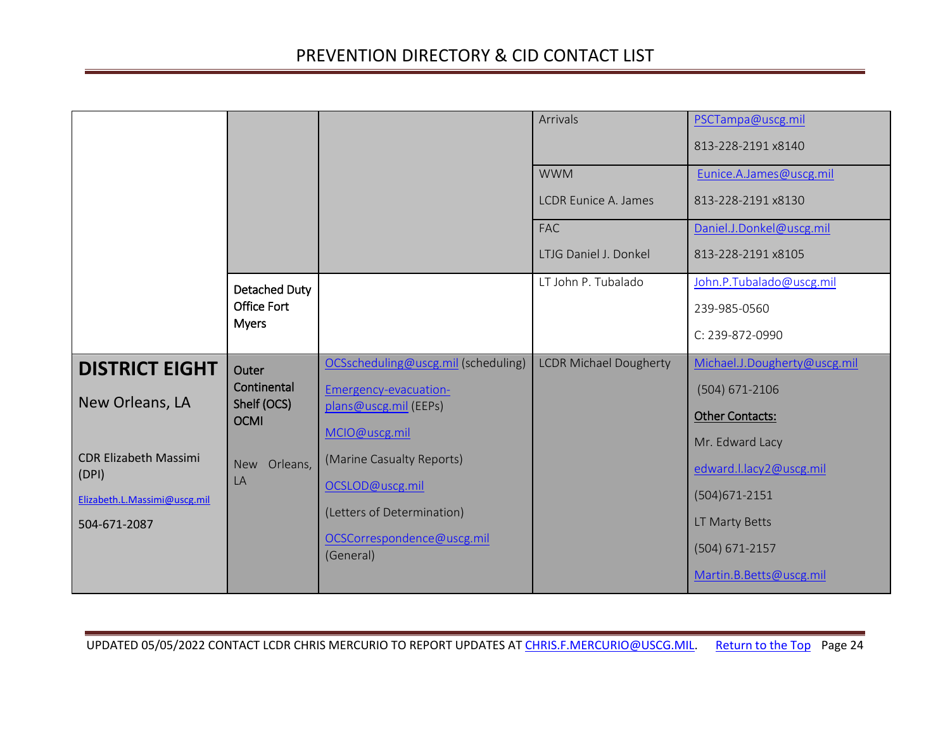<span id="page-23-2"></span><span id="page-23-1"></span><span id="page-23-0"></span>

|                                       |                            |                                         | Arrivals                      | PSCTampa@uscg.mil<br>813-228-2191 x8140    |
|---------------------------------------|----------------------------|-----------------------------------------|-------------------------------|--------------------------------------------|
|                                       |                            |                                         | <b>WWM</b>                    | Eunice.A.James@uscg.mil                    |
|                                       |                            |                                         | <b>LCDR Eunice A. James</b>   | 813-228-2191 x8130                         |
|                                       |                            |                                         | <b>FAC</b>                    | Daniel.J.Donkel@uscg.mil                   |
|                                       |                            |                                         | LTJG Daniel J. Donkel         | 813-228-2191 x8105                         |
|                                       | <b>Detached Duty</b>       |                                         | LT John P. Tubalado           | John.P.Tubalado@uscg.mil                   |
|                                       | <b>Office Fort</b>         |                                         |                               | 239-985-0560                               |
|                                       | <b>Myers</b>               |                                         |                               | C: 239-872-0990                            |
|                                       |                            |                                         |                               |                                            |
| <b>DISTRICT EIGHT</b>                 | Outer                      | OCSscheduling@uscg.mil (scheduling)     | <b>LCDR Michael Dougherty</b> | Michael.J.Dougherty@uscg.mil               |
|                                       | Continental                | Emergency-evacuation-                   |                               | $(504) 671 - 2106$                         |
| New Orleans, LA                       | Shelf (OCS)<br><b>OCMI</b> | plans@uscg.mil (EEPs)                   |                               | <b>Other Contacts:</b>                     |
|                                       |                            | MCIO@uscg.mil                           |                               | Mr. Edward Lacy                            |
| <b>CDR Elizabeth Massimi</b>          | New Orleans,               | (Marine Casualty Reports)               |                               |                                            |
| (DPI)<br>Elizabeth.L.Massimi@uscg.mil | LA                         | OCSLOD@uscg.mil                         |                               | edward.l.lacy2@uscg.mil<br>$(504)671-2151$ |
| 504-671-2087                          |                            | (Letters of Determination)              |                               | LT Marty Betts                             |
|                                       |                            | OCSCorrespondence@uscg.mil<br>(General) |                               | $(504) 671 - 2157$                         |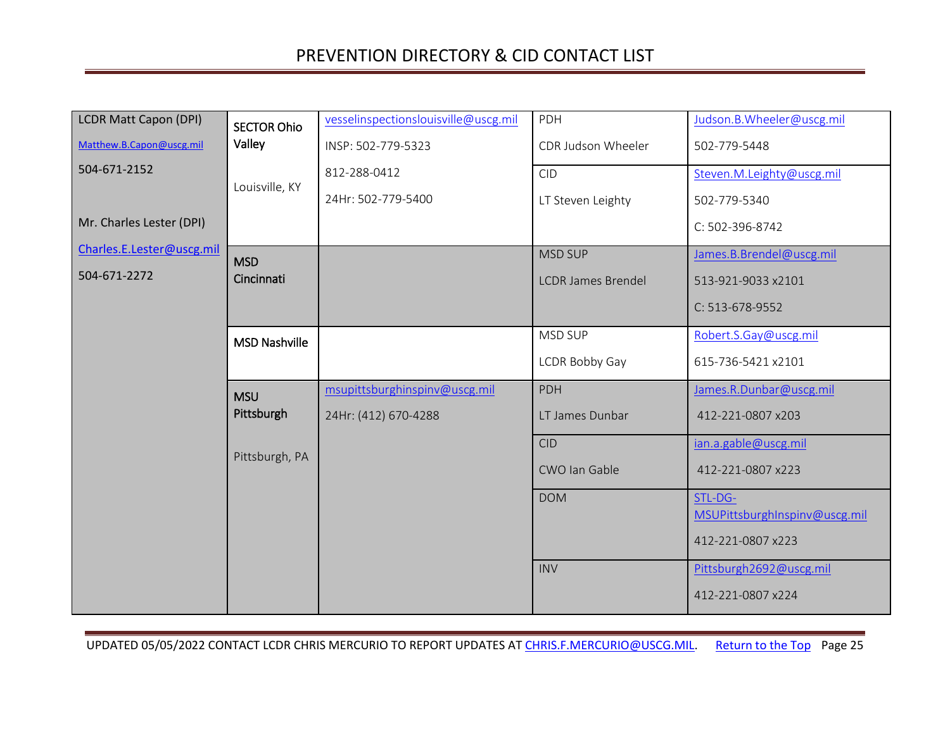<span id="page-24-3"></span><span id="page-24-2"></span><span id="page-24-1"></span><span id="page-24-0"></span>

| <b>LCDR Matt Capon (DPI)</b> | <b>SECTOR Ohio</b>   | vesselinspectionslouisville@uscg.mil | PDH                       | Judson.B.Wheeler@uscg.mil                |
|------------------------------|----------------------|--------------------------------------|---------------------------|------------------------------------------|
| Matthew.B.Capon@uscg.mil     | Valley               | INSP: 502-779-5323                   | CDR Judson Wheeler        | 502-779-5448                             |
| 504-671-2152                 |                      | 812-288-0412                         | <b>CID</b>                | Steven.M.Leighty@uscg.mil                |
|                              | Louisville, KY       | 24Hr: 502-779-5400                   | LT Steven Leighty         | 502-779-5340                             |
| Mr. Charles Lester (DPI)     |                      |                                      |                           | C: 502-396-8742                          |
| Charles.E.Lester@uscg.mil    | <b>MSD</b>           |                                      | <b>MSD SUP</b>            | James.B.Brendel@uscg.mil                 |
| 504-671-2272                 | Cincinnati           |                                      | <b>LCDR James Brendel</b> | 513-921-9033 x2101                       |
|                              |                      |                                      |                           | C: 513-678-9552                          |
|                              | <b>MSD Nashville</b> |                                      | MSD SUP                   | Robert.S.Gay@uscg.mil                    |
|                              |                      |                                      | LCDR Bobby Gay            | 615-736-5421 x2101                       |
|                              | <b>MSU</b>           | msupittsburghinspinv@uscg.mil        | <b>PDH</b>                | James.R.Dunbar@uscg.mil                  |
|                              | Pittsburgh           | 24Hr: (412) 670-4288                 | LT James Dunbar           | 412-221-0807 x203                        |
|                              | Pittsburgh, PA       |                                      | <b>CID</b>                | ian.a.gable@uscg.mil                     |
|                              |                      |                                      | CWO Ian Gable             | 412-221-0807 x223                        |
|                              |                      |                                      | <b>DOM</b>                | STL-DG-<br>MSUPittsburghInspinv@uscg.mil |
|                              |                      |                                      |                           | 412-221-0807 x223                        |
|                              |                      |                                      | <b>INV</b>                | Pittsburgh2692@uscg.mil                  |
|                              |                      |                                      |                           | 412-221-0807 x224                        |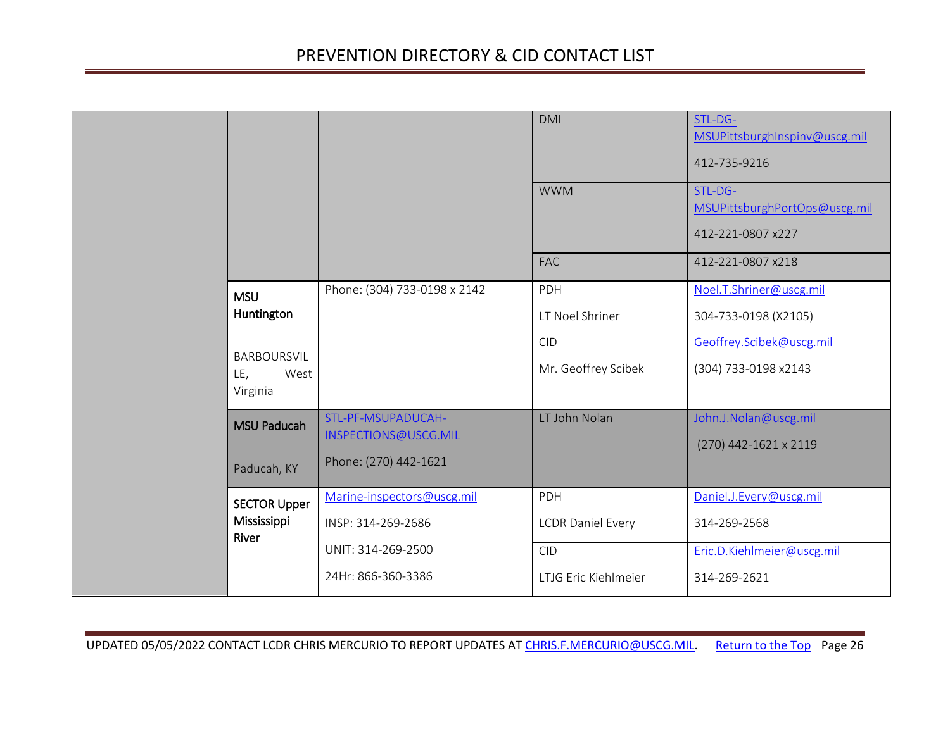<span id="page-25-2"></span><span id="page-25-1"></span><span id="page-25-0"></span>

|  |                         |                                               | <b>DMI</b>               | STL-DG-<br>MSUPittsburghInspinv@uscg.mil<br>412-735-9216      |
|--|-------------------------|-----------------------------------------------|--------------------------|---------------------------------------------------------------|
|  |                         |                                               | <b>WWM</b>               | STL-DG-<br>MSUPittsburghPortOps@uscg.mil<br>412-221-0807 x227 |
|  |                         |                                               | <b>FAC</b>               | 412-221-0807 x218                                             |
|  | <b>MSU</b>              | Phone: (304) 733-0198 x 2142                  | PDH                      | Noel.T.Shriner@uscg.mil                                       |
|  | Huntington              |                                               | LT Noel Shriner          | 304-733-0198 (X2105)                                          |
|  | <b>BARBOURSVIL</b>      |                                               | <b>CID</b>               | Geoffrey.Scibek@uscg.mil                                      |
|  | LE,<br>West<br>Virginia |                                               | Mr. Geoffrey Scibek      | (304) 733-0198 x2143                                          |
|  | <b>MSU Paducah</b>      | STL-PF-MSUPADUCAH-                            | LT John Nolan            | John.J.Nolan@uscg.mil                                         |
|  | Paducah, KY             | INSPECTIONS@USCG.MIL<br>Phone: (270) 442-1621 |                          | (270) 442-1621 x 2119                                         |
|  | <b>SECTOR Upper</b>     | Marine-inspectors@uscg.mil                    | PDH                      | Daniel.J.Every@uscg.mil                                       |
|  | Mississippi<br>River    | INSP: 314-269-2686                            | <b>LCDR Daniel Every</b> | 314-269-2568                                                  |
|  |                         | UNIT: 314-269-2500                            | <b>CID</b>               | Eric.D.Kiehlmeier@uscg.mil                                    |
|  |                         | 24Hr: 866-360-3386                            | LTJG Eric Kiehlmeier     | 314-269-2621                                                  |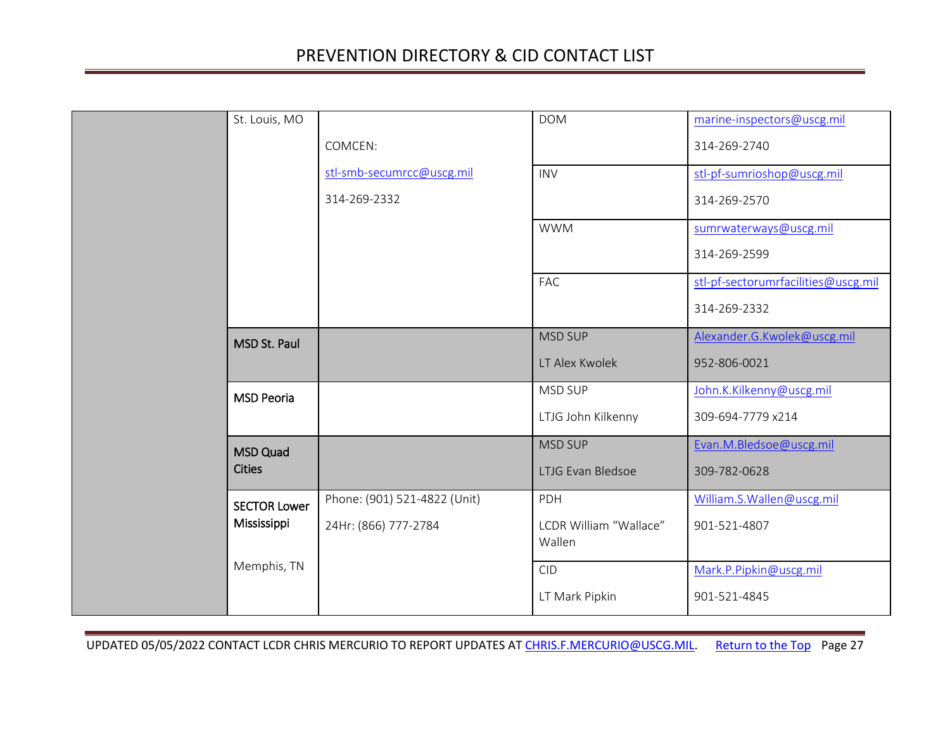<span id="page-26-3"></span><span id="page-26-2"></span><span id="page-26-1"></span><span id="page-26-0"></span>

| St. Louis, MO       |                              | <b>DOM</b>                       | marine-inspectors@uscg.mil          |
|---------------------|------------------------------|----------------------------------|-------------------------------------|
|                     | COMCEN:                      |                                  | 314-269-2740                        |
|                     | stl-smb-secumrcc@uscg.mil    | <b>INV</b>                       | stl-pf-sumrioshop@uscg.mil          |
|                     | 314-269-2332                 |                                  | 314-269-2570                        |
|                     |                              | <b>WWM</b>                       | sumrwaterways@uscg.mil              |
|                     |                              |                                  | 314-269-2599                        |
|                     |                              | FAC                              | stl-pf-sectorumrfacilities@uscg.mil |
|                     |                              |                                  | 314-269-2332                        |
| <b>MSD St. Paul</b> |                              | <b>MSD SUP</b>                   | Alexander.G.Kwolek@uscg.mil         |
|                     |                              | LT Alex Kwolek                   | 952-806-0021                        |
| <b>MSD Peoria</b>   |                              | MSD SUP                          | John.K.Kilkenny@uscg.mil            |
|                     |                              | LTJG John Kilkenny               | 309-694-7779 x214                   |
| <b>MSD Quad</b>     |                              | <b>MSD SUP</b>                   | Evan.M.Bledsoe@uscg.mil             |
| <b>Cities</b>       |                              | LTJG Evan Bledsoe                | 309-782-0628                        |
| <b>SECTOR Lower</b> | Phone: (901) 521-4822 (Unit) | PDH                              | William.S.Wallen@uscg.mil           |
| Mississippi         | 24Hr: (866) 777-2784         | LCDR William "Wallace"<br>Wallen | 901-521-4807                        |
| Memphis, TN         |                              | <b>CID</b>                       | Mark.P.Pipkin@uscg.mil              |
|                     |                              | LT Mark Pipkin                   | 901-521-4845                        |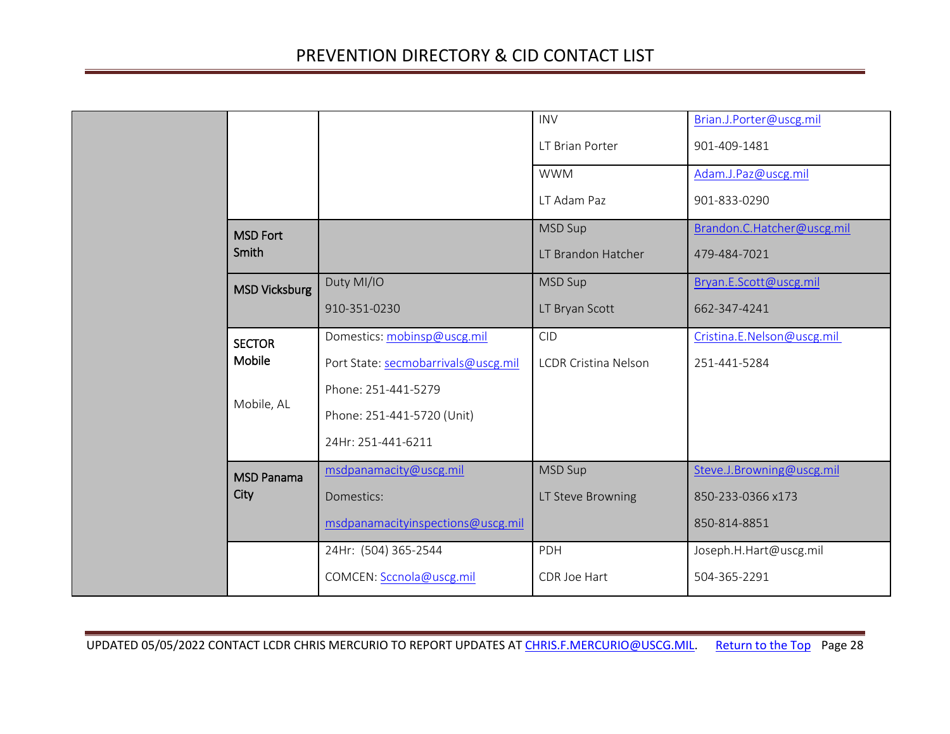<span id="page-27-3"></span><span id="page-27-2"></span><span id="page-27-1"></span><span id="page-27-0"></span>

|                      |                                     | <b>INV</b>                  | Brian.J.Porter@uscg.mil    |
|----------------------|-------------------------------------|-----------------------------|----------------------------|
|                      |                                     | LT Brian Porter             | 901-409-1481               |
|                      |                                     | <b>WWM</b>                  | Adam.J.Paz@uscg.mil        |
|                      |                                     | LT Adam Paz                 | 901-833-0290               |
| <b>MSD Fort</b>      |                                     | <b>MSD Sup</b>              | Brandon.C.Hatcher@uscg.mil |
| Smith                |                                     | LT Brandon Hatcher          | 479-484-7021               |
| <b>MSD Vicksburg</b> | Duty MI/IO                          | MSD Sup                     | Bryan.E.Scott@uscg.mil     |
|                      | 910-351-0230                        | LT Bryan Scott              | 662-347-4241               |
| <b>SECTOR</b>        | Domestics: mobinsp@uscg.mil         | <b>CID</b>                  | Cristina.E.Nelson@uscg.mil |
| Mobile               | Port State: secmobarrivals@uscg.mil | <b>LCDR Cristina Nelson</b> | 251-441-5284               |
|                      | Phone: 251-441-5279                 |                             |                            |
| Mobile, AL           | Phone: 251-441-5720 (Unit)          |                             |                            |
|                      | 24Hr: 251-441-6211                  |                             |                            |
| <b>MSD Panama</b>    | msdpanamacity@uscg.mil              | MSD Sup                     | Steve.J.Browning@uscg.mil  |
| City                 | Domestics:                          | LT Steve Browning           | 850-233-0366 x173          |
|                      | msdpanamacityinspections@uscg.mil   |                             | 850-814-8851               |
|                      | 24Hr: (504) 365-2544                | PDH                         | Joseph.H.Hart@uscg.mil     |
|                      | COMCEN: Sccnola@uscg.mil            | CDR Joe Hart                | 504-365-2291               |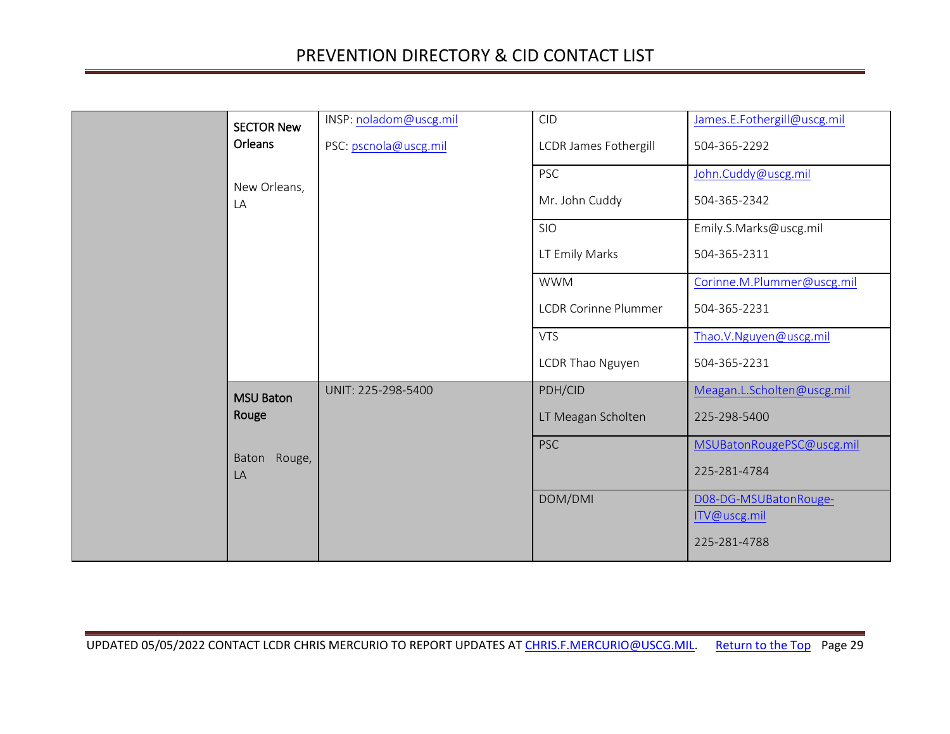<span id="page-28-1"></span><span id="page-28-0"></span>

| <b>SECTOR New</b><br>Orleans | INSP: noladom@uscg.mil<br>PSC: pscnola@uscg.mil | <b>CID</b><br><b>LCDR James Fothergill</b><br><b>PSC</b> | James.E.Fothergill@uscg.mil<br>504-365-2292<br>John.Cuddy@uscg.mil |
|------------------------------|-------------------------------------------------|----------------------------------------------------------|--------------------------------------------------------------------|
| New Orleans,<br>LA           |                                                 | Mr. John Cuddy                                           | 504-365-2342                                                       |
|                              |                                                 | SIO                                                      | Emily.S.Marks@uscg.mil                                             |
|                              |                                                 | LT Emily Marks                                           | 504-365-2311                                                       |
|                              |                                                 | <b>WWM</b>                                               | Corinne.M.Plummer@uscg.mil                                         |
|                              |                                                 | <b>LCDR Corinne Plummer</b>                              | 504-365-2231                                                       |
|                              |                                                 | <b>VTS</b>                                               | Thao.V.Nguyen@uscg.mil                                             |
|                              |                                                 | LCDR Thao Nguyen                                         | 504-365-2231                                                       |
| <b>MSU Baton</b>             | UNIT: 225-298-5400                              | PDH/CID                                                  | Meagan.L.Scholten@uscg.mil                                         |
| Rouge                        |                                                 | LT Meagan Scholten                                       | 225-298-5400                                                       |
| Rouge,<br>Baton              |                                                 | <b>PSC</b>                                               | MSUBatonRougePSC@uscg.mil                                          |
| LA                           |                                                 |                                                          | 225-281-4784                                                       |
|                              |                                                 | DOM/DMI                                                  | D08-DG-MSUBatonRouge-<br>ITV@uscg.mil                              |
|                              |                                                 |                                                          | 225-281-4788                                                       |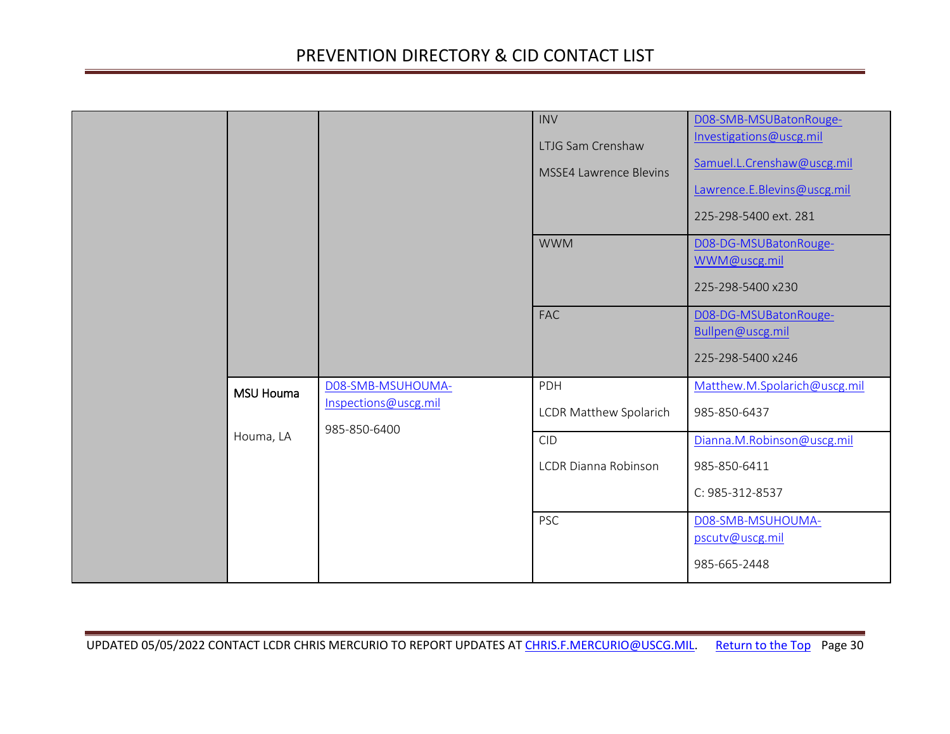<span id="page-29-0"></span>

|                  |                                                           | <b>INV</b><br>LTJG Sam Crenshaw<br><b>MSSE4 Lawrence Blevins</b> | DO8-SMB-MSUBatonRouge-<br>Investigations@uscg.mil<br>Samuel.L.Crenshaw@uscg.mil<br>Lawrence.E.Blevins@uscg.mil<br>225-298-5400 ext. 281 |
|------------------|-----------------------------------------------------------|------------------------------------------------------------------|-----------------------------------------------------------------------------------------------------------------------------------------|
|                  |                                                           | <b>WWM</b>                                                       | D08-DG-MSUBatonRouge-<br>WWM@uscg.mil<br>225-298-5400 x230                                                                              |
|                  |                                                           | <b>FAC</b>                                                       | D08-DG-MSUBatonRouge-<br>Bullpen@uscg.mil<br>225-298-5400 x246                                                                          |
| <b>MSU Houma</b> | D08-SMB-MSUHOUMA-<br>Inspections@uscg.mil<br>985-850-6400 | PDH<br><b>LCDR Matthew Spolarich</b>                             | Matthew.M.Spolarich@uscg.mil<br>985-850-6437                                                                                            |
| Houma, LA        |                                                           | <b>CID</b><br><b>LCDR Dianna Robinson</b>                        | Dianna.M.Robinson@uscg.mil<br>985-850-6411<br>C: 985-312-8537                                                                           |
|                  |                                                           | <b>PSC</b>                                                       | D08-SMB-MSUHOUMA-<br>pscutv@uscg.mil<br>985-665-2448                                                                                    |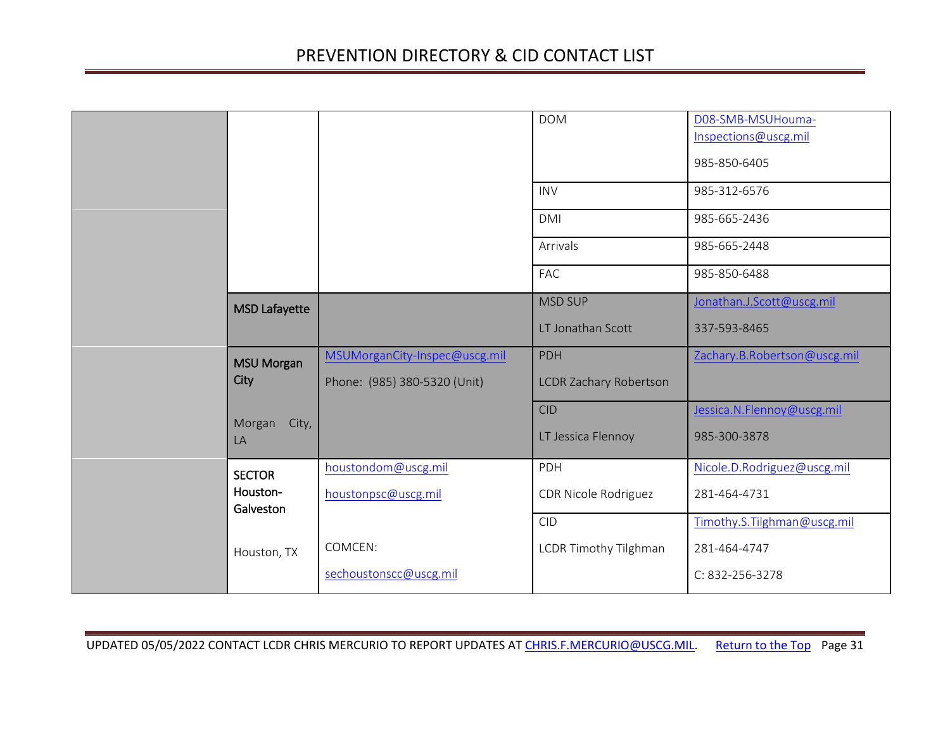<span id="page-30-2"></span><span id="page-30-1"></span><span id="page-30-0"></span>

|  |                       |                               | <b>DOM</b>                       | D08-SMB-MSUHouma-<br>Inspections@uscg.mil<br>985-850-6405 |
|--|-----------------------|-------------------------------|----------------------------------|-----------------------------------------------------------|
|  |                       |                               | <b>INV</b>                       | 985-312-6576                                              |
|  |                       |                               | <b>DMI</b>                       | 985-665-2436                                              |
|  |                       |                               | Arrivals                         | 985-665-2448                                              |
|  |                       |                               | <b>FAC</b>                       | 985-850-6488                                              |
|  | <b>MSD Lafayette</b>  |                               | <b>MSD SUP</b>                   | Jonathan.J.Scott@uscg.mil                                 |
|  |                       |                               | LT Jonathan Scott                | 337-593-8465                                              |
|  | <b>MSU Morgan</b>     | MSUMorganCity-Inspec@uscg.mil | <b>PDH</b>                       | Zachary.B.Robertson@uscg.mil                              |
|  | City                  | Phone: (985) 380-5320 (Unit)  | <b>LCDR Zachary Robertson</b>    |                                                           |
|  | City,<br>Morgan<br>LA |                               | <b>CID</b><br>LT Jessica Flennoy | Jessica.N.Flennoy@uscg.mil<br>985-300-3878                |
|  | <b>SECTOR</b>         | houstondom@uscg.mil           | PDH                              | Nicole.D.Rodriguez@uscg.mil                               |
|  | Houston-<br>Galveston | houstonpsc@uscg.mil           | CDR Nicole Rodriguez             | 281-464-4731                                              |
|  |                       |                               | CID                              | Timothy.S.Tilghman@uscg.mil                               |
|  | Houston, TX           | COMCEN:                       | LCDR Timothy Tilghman            | 281-464-4747                                              |
|  |                       | sechoustonscc@uscg.mil        |                                  | C: 832-256-3278                                           |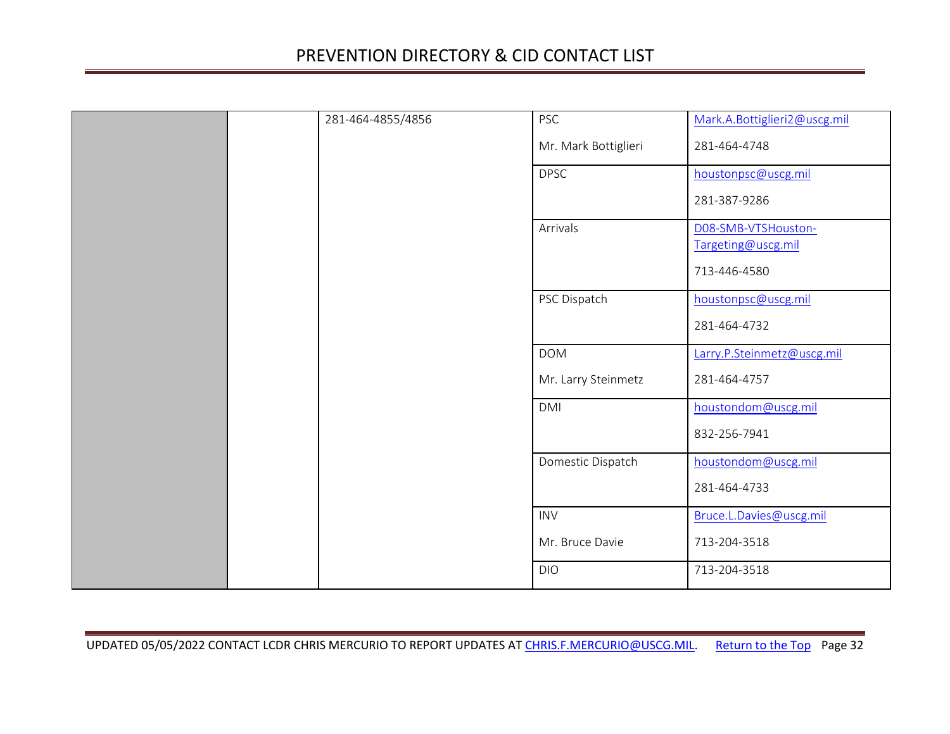|  | 281-464-4855/4856 | <b>PSC</b>           | Mark.A.Bottiglieri2@uscg.mil              |
|--|-------------------|----------------------|-------------------------------------------|
|  |                   | Mr. Mark Bottiglieri | 281-464-4748                              |
|  |                   | <b>DPSC</b>          | houstonpsc@uscg.mil                       |
|  |                   |                      | 281-387-9286                              |
|  |                   | Arrivals             | D08-SMB-VTSHouston-<br>Targeting@uscg.mil |
|  |                   |                      | 713-446-4580                              |
|  |                   | PSC Dispatch         | houstonpsc@uscg.mil                       |
|  |                   |                      | 281-464-4732                              |
|  |                   | <b>DOM</b>           | Larry.P.Steinmetz@uscg.mil                |
|  |                   | Mr. Larry Steinmetz  | 281-464-4757                              |
|  |                   | <b>DMI</b>           | houstondom@uscg.mil                       |
|  |                   |                      | 832-256-7941                              |
|  |                   | Domestic Dispatch    | houstondom@uscg.mil                       |
|  |                   |                      | 281-464-4733                              |
|  |                   | <b>INV</b>           | Bruce.L.Davies@uscg.mil                   |
|  |                   | Mr. Bruce Davie      | 713-204-3518                              |
|  |                   | <b>DIO</b>           | 713-204-3518                              |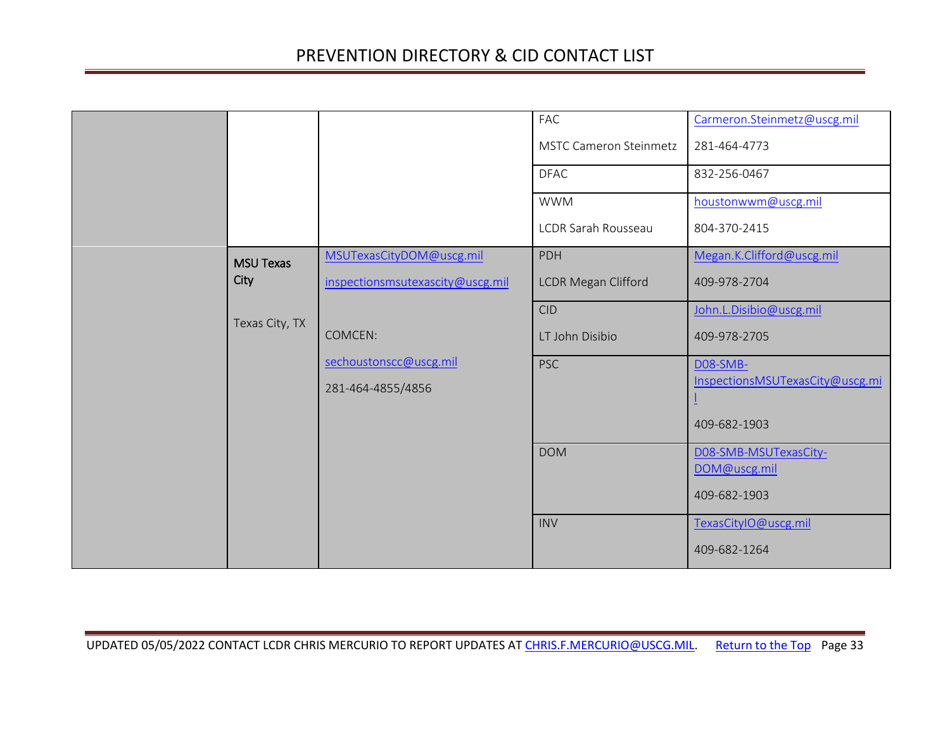<span id="page-32-0"></span>

|                  |                                  | FAC                           | Carmeron.Steinmetz@uscg.mil           |
|------------------|----------------------------------|-------------------------------|---------------------------------------|
|                  |                                  | <b>MSTC Cameron Steinmetz</b> | 281-464-4773                          |
|                  |                                  | <b>DFAC</b>                   | 832-256-0467                          |
|                  |                                  | <b>WWM</b>                    | houstonwwm@uscg.mil                   |
|                  |                                  | LCDR Sarah Rousseau           | 804-370-2415                          |
| <b>MSU Texas</b> | MSUTexasCityDOM@uscg.mil         | <b>PDH</b>                    | Megan.K.Clifford@uscg.mil             |
| City             | inspectionsmsutexascity@uscg.mil | <b>LCDR Megan Clifford</b>    | 409-978-2704                          |
| Texas City, TX   |                                  | <b>CID</b>                    | John.L.Disibio@uscg.mil               |
|                  | COMCEN:                          | LT John Disibio               | 409-978-2705                          |
|                  | sechoustonscc@uscg.mil           | <b>PSC</b>                    | <b>D08-SMB-</b>                       |
|                  | 281-464-4855/4856                |                               | InspectionsMSUTexasCity@uscg.mi       |
|                  |                                  |                               | 409-682-1903                          |
|                  |                                  | <b>DOM</b>                    | DO8-SMB-MSUTexasCity-<br>DOM@uscg.mil |
|                  |                                  |                               | 409-682-1903                          |
|                  |                                  | <b>INV</b>                    | TexasCityIO@uscg.mil                  |
|                  |                                  |                               | 409-682-1264                          |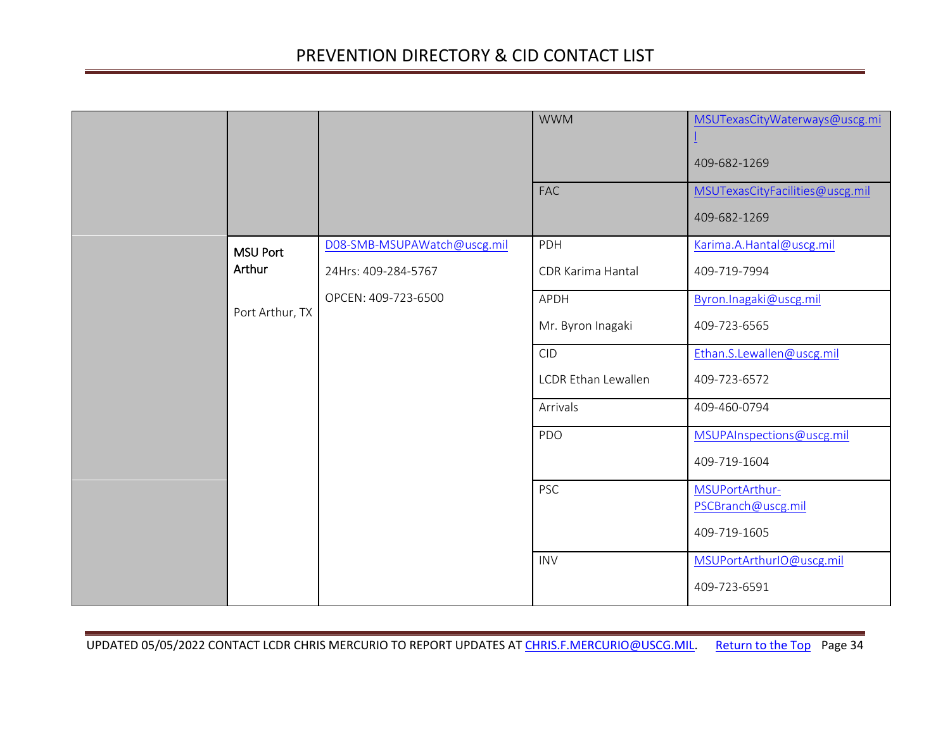<span id="page-33-0"></span>

|                 |                             | <b>WWM</b>          | MSUTexasCityWaterways@uscg.mi<br>409-682-1269   |
|-----------------|-----------------------------|---------------------|-------------------------------------------------|
|                 |                             | <b>FAC</b>          | MSUTexasCityFacilities@uscg.mil<br>409-682-1269 |
| <b>MSU Port</b> | D08-SMB-MSUPAWatch@uscg.mil | PDH                 | Karima.A.Hantal@uscg.mil                        |
| Arthur          | 24Hrs: 409-284-5767         | CDR Karima Hantal   | 409-719-7994                                    |
|                 | OPCEN: 409-723-6500         | APDH                | Byron. Inagaki@uscg.mil                         |
| Port Arthur, TX |                             | Mr. Byron Inagaki   | 409-723-6565                                    |
|                 |                             | <b>CID</b>          | Ethan.S.Lewallen@uscg.mil                       |
|                 |                             | LCDR Ethan Lewallen | 409-723-6572                                    |
|                 |                             | Arrivals            | 409-460-0794                                    |
|                 |                             | PDO                 | MSUPAInspections@uscg.mil                       |
|                 |                             |                     | 409-719-1604                                    |
|                 |                             | <b>PSC</b>          | MSUPortArthur-<br>PSCBranch@uscg.mil            |
|                 |                             |                     | 409-719-1605                                    |
|                 |                             | <b>INV</b>          | MSUPortArthurIO@uscg.mil                        |
|                 |                             |                     | 409-723-6591                                    |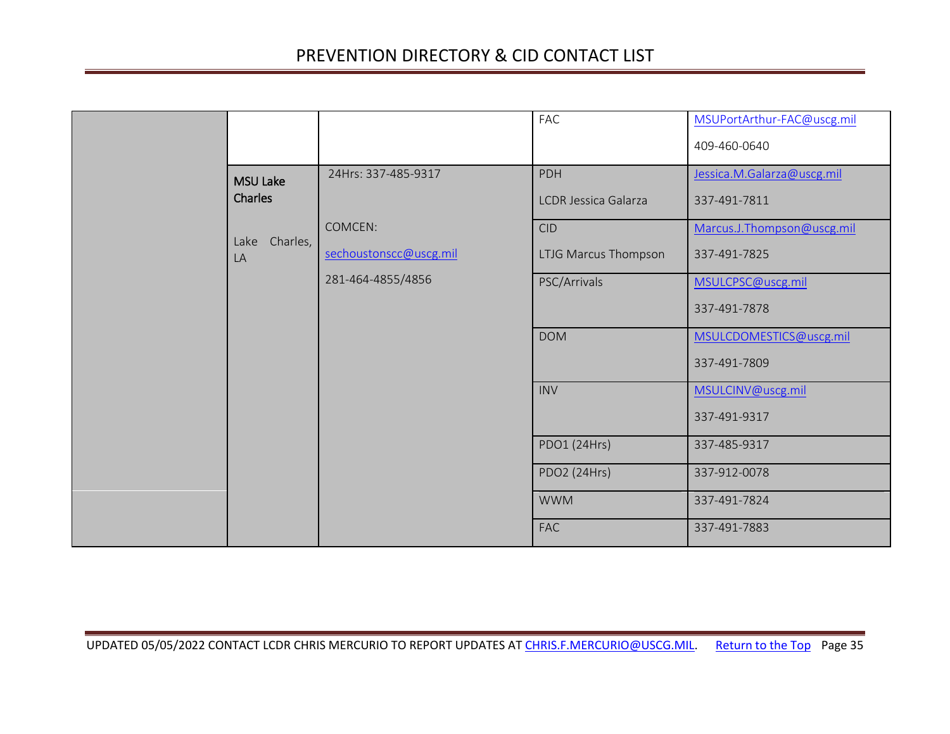<span id="page-34-0"></span>

|                        |                        | FAC                         | MSUPortArthur-FAC@uscg.mil |
|------------------------|------------------------|-----------------------------|----------------------------|
|                        |                        |                             | 409-460-0640               |
| <b>MSU Lake</b>        | 24Hrs: 337-485-9317    | PDH                         | Jessica.M.Galarza@uscg.mil |
| Charles                |                        | <b>LCDR Jessica Galarza</b> | 337-491-7811               |
|                        | COMCEN:                | CID                         | Marcus.J.Thompson@uscg.mil |
| Charles,<br>Lake<br>LA | sechoustonscc@uscg.mil | LTJG Marcus Thompson        | 337-491-7825               |
|                        | 281-464-4855/4856      | PSC/Arrivals                | MSULCPSC@uscg.mil          |
|                        |                        |                             | 337-491-7878               |
|                        |                        | <b>DOM</b>                  | MSULCDOMESTICS@uscg.mil    |
|                        |                        |                             | 337-491-7809               |
|                        |                        | <b>INV</b>                  | MSULCINV@uscg.mil          |
|                        |                        |                             | 337-491-9317               |
|                        |                        | PDO1 (24Hrs)                | 337-485-9317               |
|                        |                        | PDO2 (24Hrs)                | 337-912-0078               |
|                        |                        | <b>WWM</b>                  | 337-491-7824               |
|                        |                        | <b>FAC</b>                  | 337-491-7883               |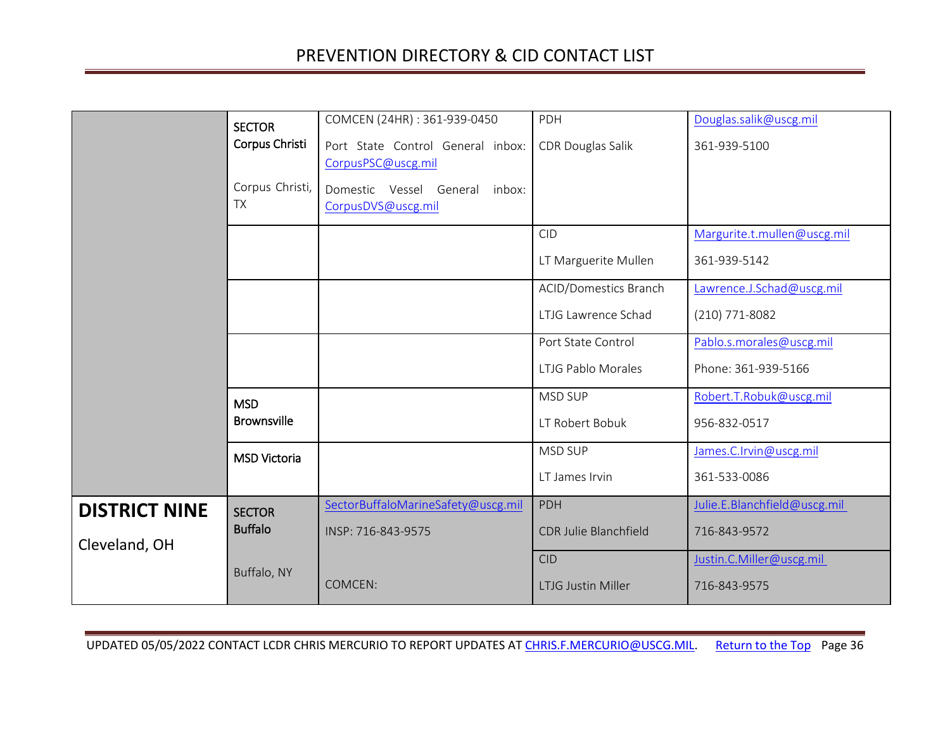<span id="page-35-4"></span><span id="page-35-3"></span><span id="page-35-2"></span><span id="page-35-1"></span><span id="page-35-0"></span>

|                      | <b>SECTOR</b>                | COMCEN (24HR): 361-939-0450        | PDH                          | Douglas.salik@uscg.mil       |
|----------------------|------------------------------|------------------------------------|------------------------------|------------------------------|
|                      | Corpus Christi               | Port State Control General inbox:  | CDR Douglas Salik            | 361-939-5100                 |
|                      |                              | CorpusPSC@uscg.mil                 |                              |                              |
|                      | Corpus Christi,<br><b>TX</b> | Domestic Vessel General<br>inbox:  |                              |                              |
|                      |                              | CorpusDVS@uscg.mil                 |                              |                              |
|                      |                              |                                    | <b>CID</b>                   | Margurite.t.mullen@uscg.mil  |
|                      |                              |                                    | LT Marguerite Mullen         | 361-939-5142                 |
|                      |                              |                                    | ACID/Domestics Branch        | Lawrence.J.Schad@uscg.mil    |
|                      |                              |                                    | LTJG Lawrence Schad          | (210) 771-8082               |
|                      |                              |                                    | Port State Control           | Pablo.s.morales@uscg.mil     |
|                      |                              |                                    | LTJG Pablo Morales           | Phone: 361-939-5166          |
|                      | <b>MSD</b>                   |                                    | MSD SUP                      | Robert.T.Robuk@uscg.mil      |
|                      | <b>Brownsville</b>           |                                    | LT Robert Bobuk              | 956-832-0517                 |
|                      | <b>MSD Victoria</b>          |                                    | MSD SUP                      | James.C.Irvin@uscg.mil       |
|                      |                              |                                    | LT James Irvin               | 361-533-0086                 |
| <b>DISTRICT NINE</b> | <b>SECTOR</b>                | SectorBuffaloMarineSafety@uscg.mil | PDH                          | Julie.E.Blanchfield@uscg.mil |
| Cleveland, OH        | <b>Buffalo</b>               | INSP: 716-843-9575                 | <b>CDR Julie Blanchfield</b> | 716-843-9572                 |
|                      |                              |                                    | <b>CID</b>                   | Justin.C.Miller@uscg.mil     |
|                      | Buffalo, NY                  | COMCEN:                            | <b>LTJG Justin Miller</b>    | 716-843-9575                 |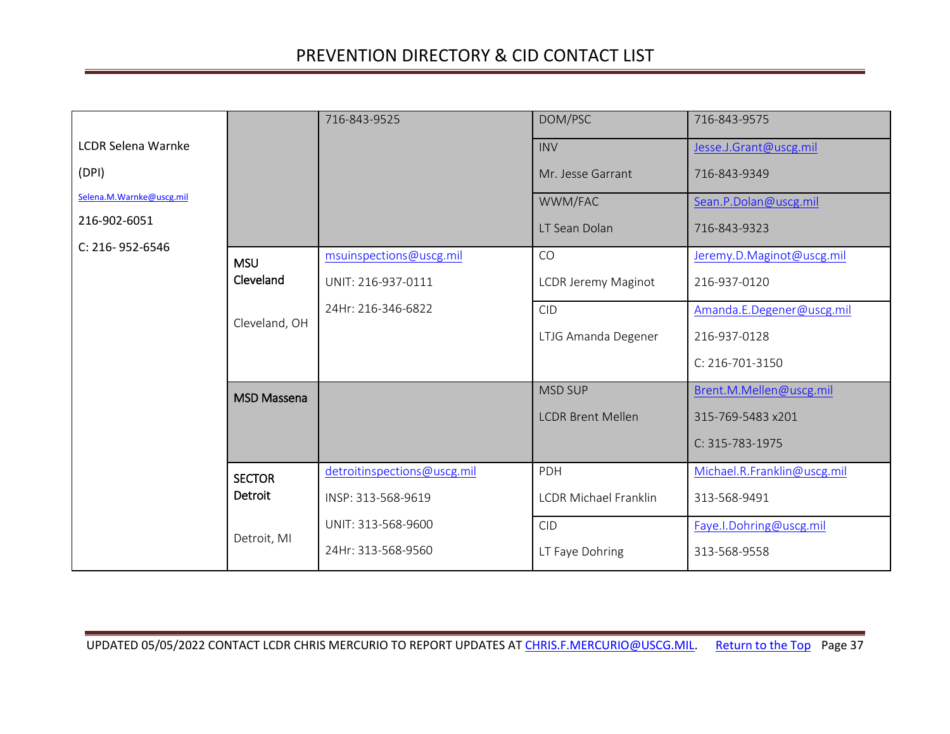<span id="page-36-2"></span><span id="page-36-1"></span><span id="page-36-0"></span>

|                           |                    | 716-843-9525                | DOM/PSC                      | 716-843-9575                |
|---------------------------|--------------------|-----------------------------|------------------------------|-----------------------------|
| <b>LCDR Selena Warnke</b> |                    |                             | <b>INV</b>                   | Jesse.J.Grant@uscg.mil      |
| (DPI)                     |                    |                             | Mr. Jesse Garrant            | 716-843-9349                |
| Selena.M.Warnke@uscg.mil  |                    |                             | WWM/FAC                      | Sean.P.Dolan@uscg.mil       |
| 216-902-6051              |                    |                             | LT Sean Dolan                | 716-843-9323                |
| C: 216-952-6546           | <b>MSU</b>         | msuinspections@uscg.mil     | CO                           | Jeremy.D.Maginot@uscg.mil   |
|                           | Cleveland          | UNIT: 216-937-0111          | LCDR Jeremy Maginot          | 216-937-0120                |
|                           |                    | 24Hr: 216-346-6822          | <b>CID</b>                   | Amanda.E.Degener@uscg.mil   |
|                           | Cleveland, OH      |                             | LTJG Amanda Degener          | 216-937-0128                |
|                           |                    |                             |                              | C: 216-701-3150             |
|                           | <b>MSD Massena</b> |                             | <b>MSD SUP</b>               | Brent.M.Mellen@uscg.mil     |
|                           |                    |                             | <b>LCDR Brent Mellen</b>     | 315-769-5483 x201           |
|                           |                    |                             |                              | C: 315-783-1975             |
|                           | <b>SECTOR</b>      | detroitinspections@uscg.mil | PDH                          | Michael.R.Franklin@uscg.mil |
|                           | Detroit            | INSP: 313-568-9619          | <b>LCDR Michael Franklin</b> | 313-568-9491                |
|                           |                    | UNIT: 313-568-9600          | <b>CID</b>                   | Faye.I.Dohring@uscg.mil     |
|                           | Detroit, MI        | 24Hr: 313-568-9560          | LT Faye Dohring              | 313-568-9558                |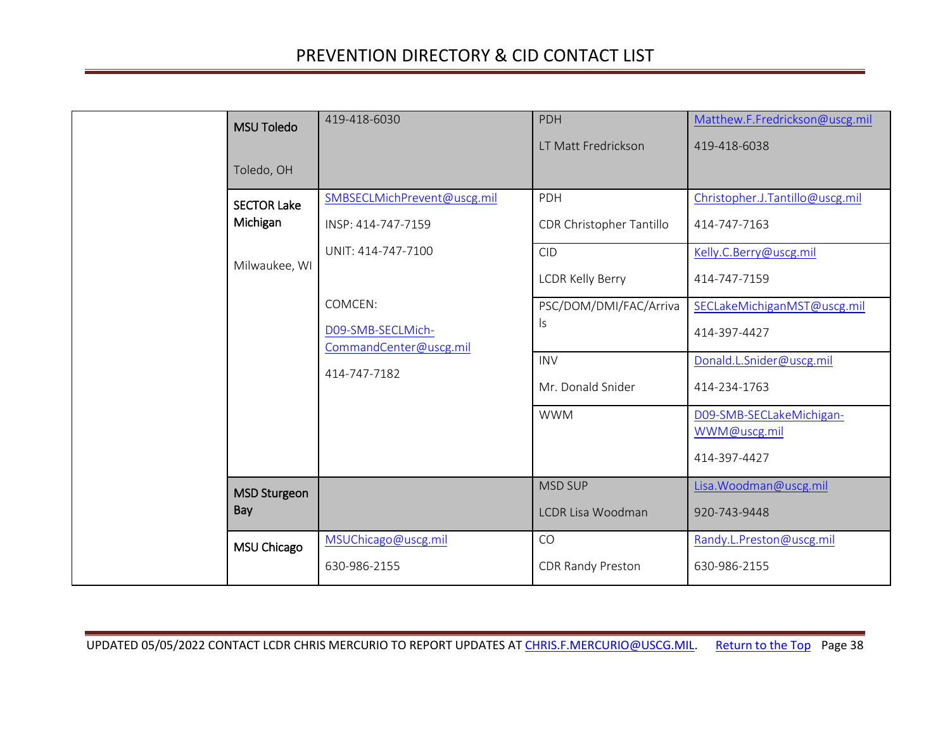<span id="page-37-3"></span><span id="page-37-2"></span><span id="page-37-1"></span><span id="page-37-0"></span>

| <b>MSU Toledo</b><br>Toledo, OH                 | 419-418-6030                                                                                                                                      | PDH<br>LT Matt Fredrickson                                                                                              | Matthew.F.Fredrickson@uscg.mil<br>419-418-6038                                                                                                                       |
|-------------------------------------------------|---------------------------------------------------------------------------------------------------------------------------------------------------|-------------------------------------------------------------------------------------------------------------------------|----------------------------------------------------------------------------------------------------------------------------------------------------------------------|
| <b>SECTOR Lake</b><br>Michigan<br>Milwaukee, WI | SMBSECLMichPrevent@uscg.mil<br>INSP: 414-747-7159<br>UNIT: 414-747-7100<br>COMCEN:<br>D09-SMB-SECLMich-<br>CommandCenter@uscg.mil<br>414-747-7182 | PDH<br>CDR Christopher Tantillo<br><b>CID</b><br><b>LCDR Kelly Berry</b><br>PSC/DOM/DMI/FAC/Arriva<br>ls.<br><b>INV</b> | Christopher.J.Tantillo@uscg.mil<br>414-747-7163<br>Kelly.C.Berry@uscg.mil<br>414-747-7159<br>SECLakeMichiganMST@uscg.mil<br>414-397-4427<br>Donald.L.Snider@uscg.mil |
|                                                 |                                                                                                                                                   | Mr. Donald Snider<br><b>WWM</b>                                                                                         | 414-234-1763<br>D09-SMB-SECLakeMichigan-<br>WWM@uscg.mil<br>414-397-4427                                                                                             |
| <b>MSD Sturgeon</b><br>Bay                      | MSUChicago@uscg.mil                                                                                                                               | <b>MSD SUP</b><br>LCDR Lisa Woodman<br>CO                                                                               | Lisa. Woodman@uscg.mil<br>920-743-9448<br>Randy.L.Preston@uscg.mil                                                                                                   |
| MSU Chicago                                     | 630-986-2155                                                                                                                                      | <b>CDR Randy Preston</b>                                                                                                | 630-986-2155                                                                                                                                                         |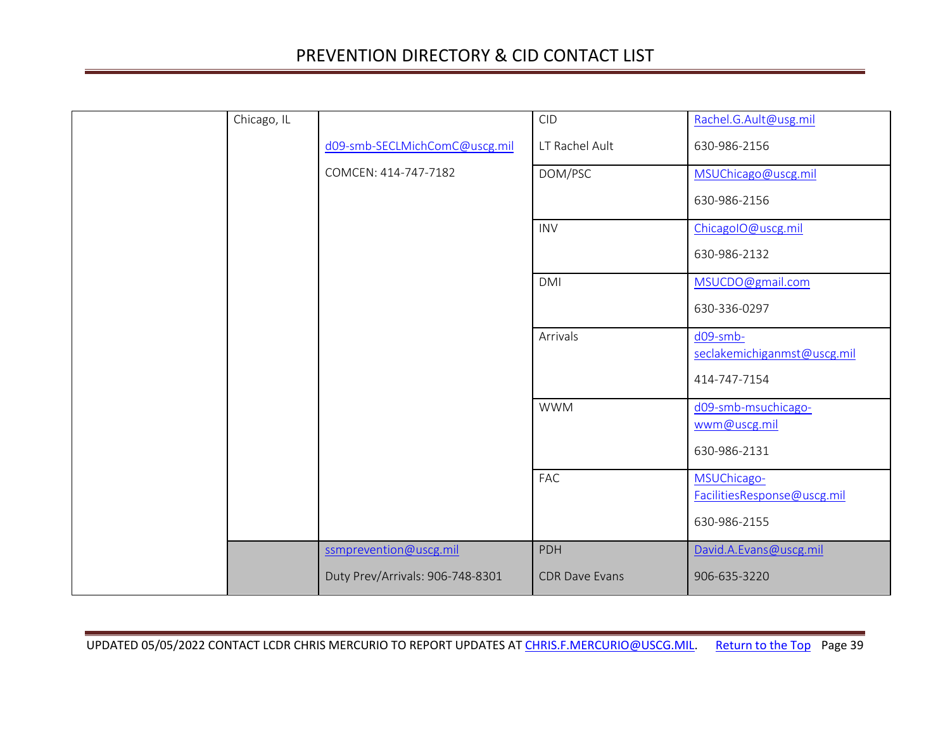| Chicago, IL |                                  | <b>CID</b>            | Rachel.G.Ault@usg.mil                      |
|-------------|----------------------------------|-----------------------|--------------------------------------------|
|             | d09-smb-SECLMichComC@uscg.mil    | LT Rachel Ault        | 630-986-2156                               |
|             | COMCEN: 414-747-7182             | DOM/PSC               | MSUChicago@uscg.mil                        |
|             |                                  |                       | 630-986-2156                               |
|             |                                  | <b>INV</b>            | ChicagoIO@uscg.mil                         |
|             |                                  |                       | 630-986-2132                               |
|             |                                  | <b>DMI</b>            | MSUCDO@gmail.com                           |
|             |                                  |                       | 630-336-0297                               |
|             |                                  | Arrivals              | d09-smb-<br>seclakemichiganmst@uscg.mil    |
|             |                                  |                       |                                            |
|             |                                  |                       | 414-747-7154                               |
|             |                                  | <b>WWM</b>            | d09-smb-msuchicago-<br>wwm@uscg.mil        |
|             |                                  |                       | 630-986-2131                               |
|             |                                  |                       |                                            |
|             |                                  | FAC                   | MSUChicago-<br>FacilitiesResponse@uscg.mil |
|             |                                  |                       | 630-986-2155                               |
|             | ssmprevention@uscg.mil           | PDH                   | David.A.Evans@uscg.mil                     |
|             | Duty Prev/Arrivals: 906-748-8301 | <b>CDR Dave Evans</b> | 906-635-3220                               |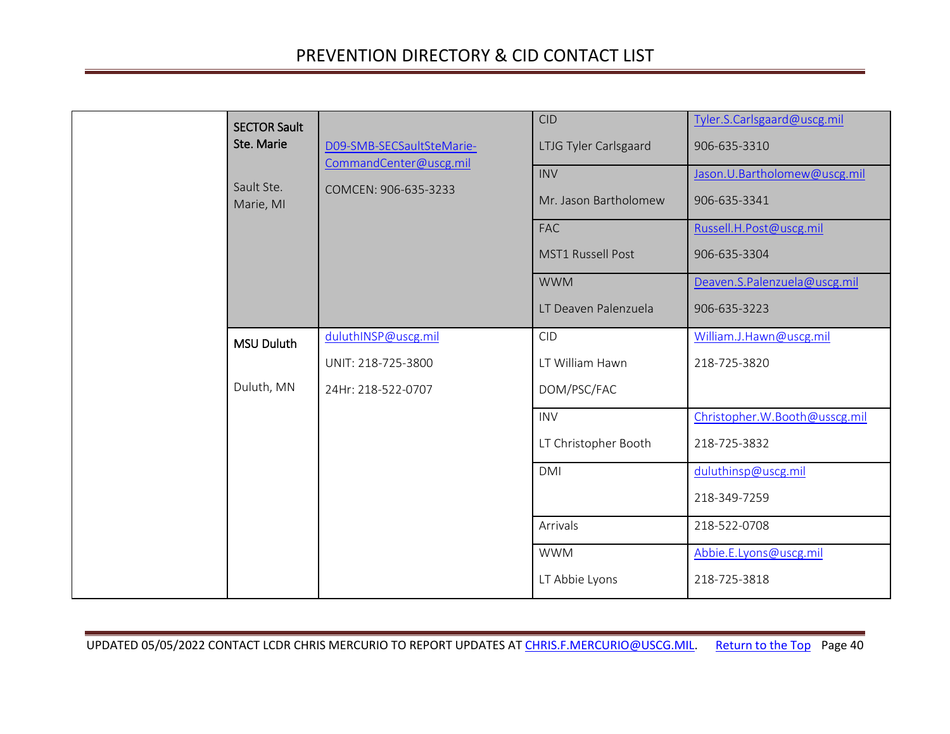<span id="page-39-1"></span><span id="page-39-0"></span>

| <b>SECTOR Sault</b><br>Ste. Marie<br>Sault Ste.<br>Marie, MI | D09-SMB-SECSaultSteMarie-<br>CommandCenter@uscg.mil<br>COMCEN: 906-635-3233 | <b>CID</b><br>LTJG Tyler Carlsgaard<br><b>INV</b><br>Mr. Jason Bartholomew<br><b>FAC</b> | Tyler.S.Carlsgaard@uscg.mil<br>906-635-3310<br>Jason. U. Bartholomew@uscg.mil<br>906-635-3341<br>Russell.H.Post@uscg.mil |
|--------------------------------------------------------------|-----------------------------------------------------------------------------|------------------------------------------------------------------------------------------|--------------------------------------------------------------------------------------------------------------------------|
|                                                              |                                                                             | <b>MST1 Russell Post</b><br><b>WWM</b><br>LT Deaven Palenzuela                           | 906-635-3304<br>Deaven.S.Palenzuela@uscg.mil<br>906-635-3223                                                             |
| <b>MSU Duluth</b><br>Duluth, MN                              | duluthINSP@uscg.mil<br>UNIT: 218-725-3800<br>24Hr: 218-522-0707             | <b>CID</b><br>LT William Hawn<br>DOM/PSC/FAC                                             | William.J.Hawn@uscg.mil<br>218-725-3820                                                                                  |
|                                                              |                                                                             | <b>INV</b><br>LT Christopher Booth<br><b>DMI</b>                                         | Christopher.W.Booth@usscg.mil<br>218-725-3832<br>duluthinsp@uscg.mil                                                     |
|                                                              |                                                                             | Arrivals                                                                                 | 218-349-7259<br>218-522-0708                                                                                             |
|                                                              |                                                                             | <b>WWM</b><br>LT Abbie Lyons                                                             | Abbie.E.Lyons@uscg.mil<br>218-725-3818                                                                                   |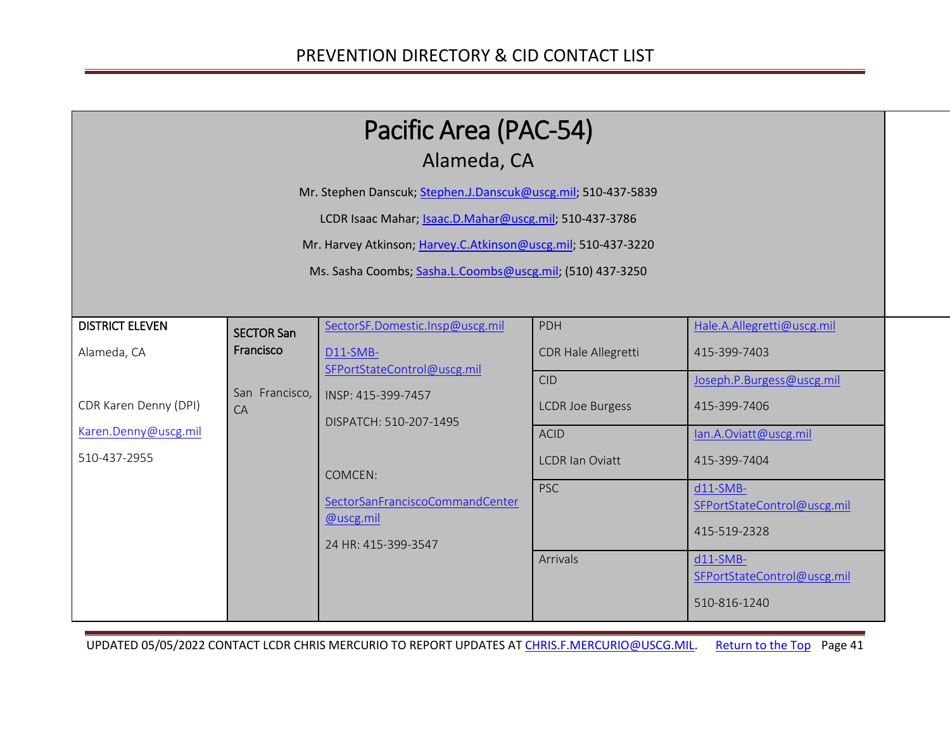<span id="page-40-1"></span><span id="page-40-0"></span>

| Pacific Area (PAC-54)<br>Alameda, CA                                                                                                                                                                                                                  |                                                        |                                                                                                                                                                                                              |                                                                                                                                        |                                                                                                                                                                                                                                            |
|-------------------------------------------------------------------------------------------------------------------------------------------------------------------------------------------------------------------------------------------------------|--------------------------------------------------------|--------------------------------------------------------------------------------------------------------------------------------------------------------------------------------------------------------------|----------------------------------------------------------------------------------------------------------------------------------------|--------------------------------------------------------------------------------------------------------------------------------------------------------------------------------------------------------------------------------------------|
| Mr. Stephen Danscuk; Stephen.J.Danscuk@uscg.mil; 510-437-5839<br>LCDR Isaac Mahar; Isaac.D.Mahar@uscg.mil; 510-437-3786<br>Mr. Harvey Atkinson; Harvey.C.Atkinson@uscg.mil; 510-437-3220<br>Ms. Sasha Coombs; Sasha.L.Coombs@uscg.mil; (510) 437-3250 |                                                        |                                                                                                                                                                                                              |                                                                                                                                        |                                                                                                                                                                                                                                            |
| <b>DISTRICT ELEVEN</b><br>Alameda, CA<br>CDR Karen Denny (DPI)<br>Karen.Denny@uscg.mil<br>510-437-2955                                                                                                                                                | <b>SECTOR San</b><br>Francisco<br>San Francisco,<br>CA | SectorSF.Domestic.Insp@uscg.mil<br>D11-SMB-<br>SFPortStateControl@uscg.mil<br>INSP: 415-399-7457<br>DISPATCH: 510-207-1495<br>COMCEN:<br>SectorSanFranciscoCommandCenter<br>@uscg.mil<br>24 HR: 415-399-3547 | PDH<br>CDR Hale Allegretti<br><b>CID</b><br><b>LCDR Joe Burgess</b><br><b>ACID</b><br><b>LCDR Ian Oviatt</b><br><b>PSC</b><br>Arrivals | Hale.A.Allegretti@uscg.mil<br>415-399-7403<br>Joseph.P.Burgess@uscg.mil<br>415-399-7406<br>lan.A.Oviatt@uscg.mil<br>415-399-7404<br>$d11-SMB-$<br>SFPortStateControl@uscg.mil<br>415-519-2328<br>$d11-SMB-$<br>SFPortStateControl@uscg.mil |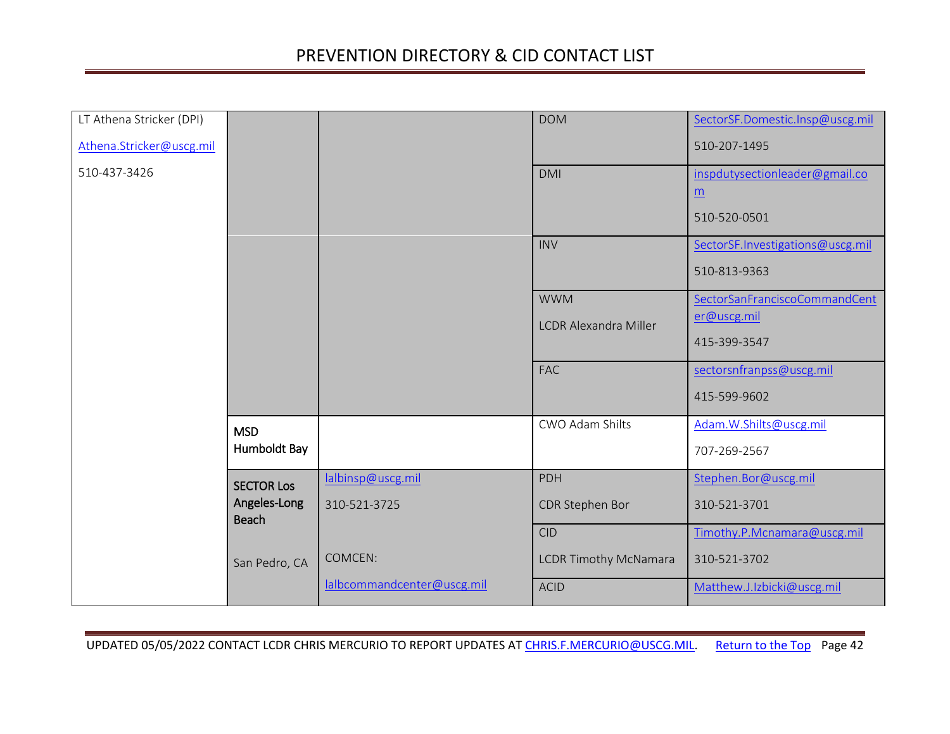<span id="page-41-1"></span><span id="page-41-0"></span>

| LT Athena Stricker (DPI) |                              |                            | <b>DOM</b>                   | SectorSF.Domestic.Insp@uscg.mil  |
|--------------------------|------------------------------|----------------------------|------------------------------|----------------------------------|
| Athena.Stricker@uscg.mil |                              |                            |                              | 510-207-1495                     |
| 510-437-3426             |                              |                            | <b>DMI</b>                   | inspdutysectionleader@gmail.co   |
|                          |                              |                            |                              | $\underline{m}$                  |
|                          |                              |                            |                              | 510-520-0501                     |
|                          |                              |                            | <b>INV</b>                   | SectorSF.Investigations@uscg.mil |
|                          |                              |                            |                              | 510-813-9363                     |
|                          |                              |                            | <b>WWM</b>                   | SectorSanFranciscoCommandCent    |
|                          |                              |                            | <b>LCDR Alexandra Miller</b> | er@uscg.mil                      |
|                          |                              |                            |                              | 415-399-3547                     |
|                          |                              |                            | <b>FAC</b>                   | sectorsnfranpss@uscg.mil         |
|                          |                              |                            |                              | 415-599-9602                     |
|                          | <b>MSD</b>                   |                            | CWO Adam Shilts              | Adam.W.Shilts@uscg.mil           |
|                          | Humboldt Bay                 |                            |                              | 707-269-2567                     |
|                          | <b>SECTOR Los</b>            | lalbinsp@uscg.mil          | PDH                          | Stephen.Bor@uscg.mil             |
|                          | Angeles-Long<br><b>Beach</b> | 310-521-3725               | CDR Stephen Bor              | 310-521-3701                     |
|                          |                              |                            | <b>CID</b>                   | Timothy.P.Mcnamara@uscg.mil      |
|                          | San Pedro, CA                | COMCEN:                    | <b>LCDR Timothy McNamara</b> | 310-521-3702                     |
|                          |                              | lalbcommandcenter@uscg.mil | <b>ACID</b>                  | Matthew.J.Izbicki@uscg.mil       |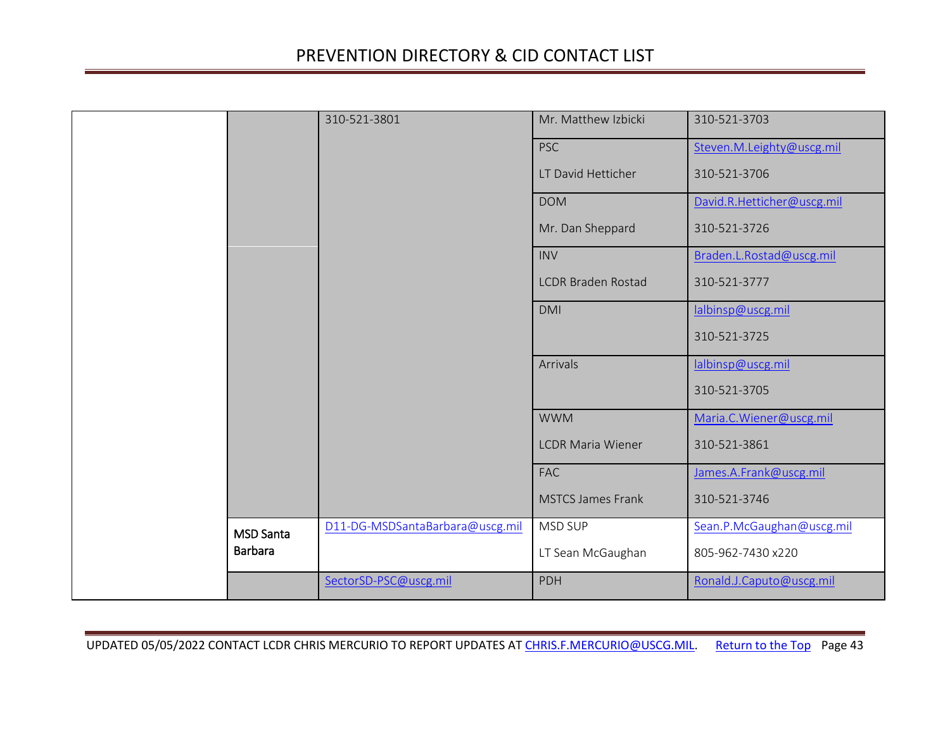<span id="page-42-0"></span>

|                  | 310-521-3801                    | Mr. Matthew Izbicki       | 310-521-3703               |
|------------------|---------------------------------|---------------------------|----------------------------|
|                  |                                 | <b>PSC</b>                | Steven.M.Leighty@uscg.mil  |
|                  |                                 | LT David Hetticher        | 310-521-3706               |
|                  |                                 | <b>DOM</b>                | David.R.Hetticher@uscg.mil |
|                  |                                 | Mr. Dan Sheppard          | 310-521-3726               |
|                  |                                 | <b>INV</b>                | Braden.L.Rostad@uscg.mil   |
|                  |                                 | <b>LCDR Braden Rostad</b> | 310-521-3777               |
|                  |                                 | <b>DMI</b>                | lalbinsp@uscg.mil          |
|                  |                                 |                           | 310-521-3725               |
|                  |                                 | Arrivals                  | lalbinsp@uscg.mil          |
|                  |                                 |                           | 310-521-3705               |
|                  |                                 | <b>WWM</b>                | Maria.C. Wiener@uscg.mil   |
|                  |                                 | <b>LCDR Maria Wiener</b>  | 310-521-3861               |
|                  |                                 | FAC                       | James.A.Frank@uscg.mil     |
|                  |                                 | <b>MSTCS James Frank</b>  | 310-521-3746               |
| <b>MSD Santa</b> | D11-DG-MSDSantaBarbara@uscg.mil | MSD SUP                   | Sean.P.McGaughan@uscg.mil  |
| <b>Barbara</b>   |                                 | LT Sean McGaughan         | 805-962-7430 x220          |
|                  | SectorSD-PSC@uscg.mil           | PDH                       | Ronald.J.Caputo@uscg.mil   |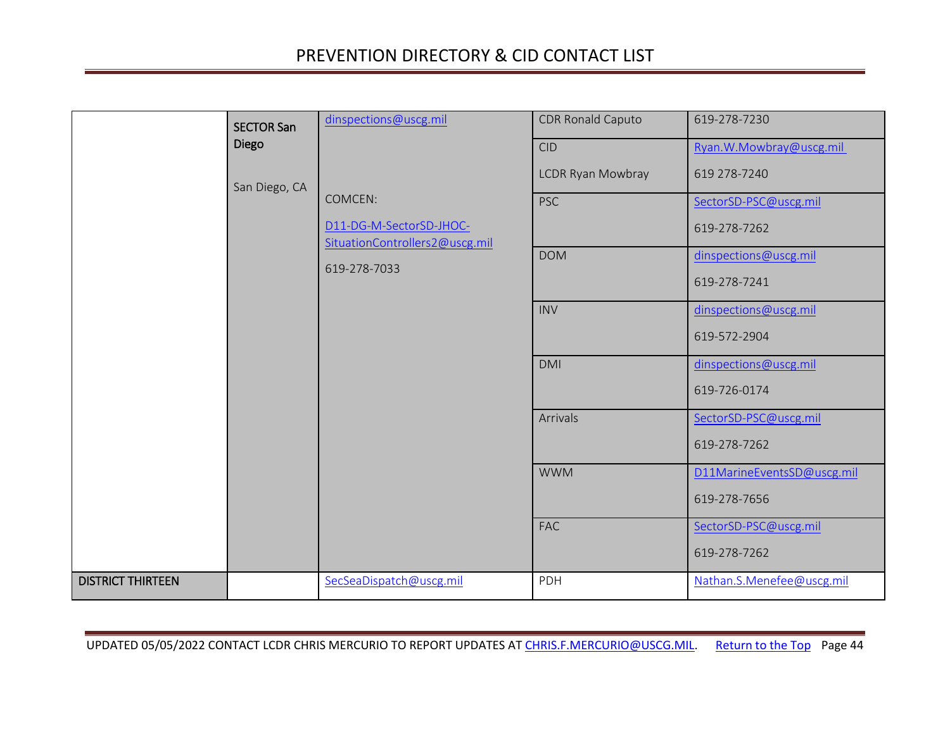<span id="page-43-1"></span><span id="page-43-0"></span>

|                          | <b>SECTOR San</b> | dinspections@uscg.mil                                     | CDR Ronald Caputo        | 619-278-7230               |
|--------------------------|-------------------|-----------------------------------------------------------|--------------------------|----------------------------|
|                          | Diego             |                                                           | <b>CID</b>               | Ryan. W. Mowbray@uscg.mil  |
|                          | San Diego, CA     |                                                           | <b>LCDR Ryan Mowbray</b> | 619 278-7240               |
|                          |                   | COMCEN:                                                   | <b>PSC</b>               | SectorSD-PSC@uscg.mil      |
|                          |                   | D11-DG-M-SectorSD-JHOC-<br>SituationControllers2@uscg.mil |                          | 619-278-7262               |
|                          |                   | 619-278-7033                                              | <b>DOM</b>               | dinspections@uscg.mil      |
|                          |                   |                                                           |                          | 619-278-7241               |
|                          |                   |                                                           | <b>INV</b>               | dinspections@uscg.mil      |
|                          |                   |                                                           |                          | 619-572-2904               |
|                          |                   |                                                           | <b>DMI</b>               | dinspections@uscg.mil      |
|                          |                   |                                                           |                          | 619-726-0174               |
|                          |                   |                                                           | Arrivals                 | SectorSD-PSC@uscg.mil      |
|                          |                   |                                                           |                          | 619-278-7262               |
|                          |                   |                                                           | <b>WWM</b>               | D11MarineEventsSD@uscg.mil |
|                          |                   |                                                           |                          | 619-278-7656               |
|                          |                   |                                                           | FAC                      | SectorSD-PSC@uscg.mil      |
|                          |                   |                                                           |                          | 619-278-7262               |
| <b>DISTRICT THIRTEEN</b> |                   | SecSeaDispatch@uscg.mil                                   | PDH                      | Nathan.S.Menefee@uscg.mil  |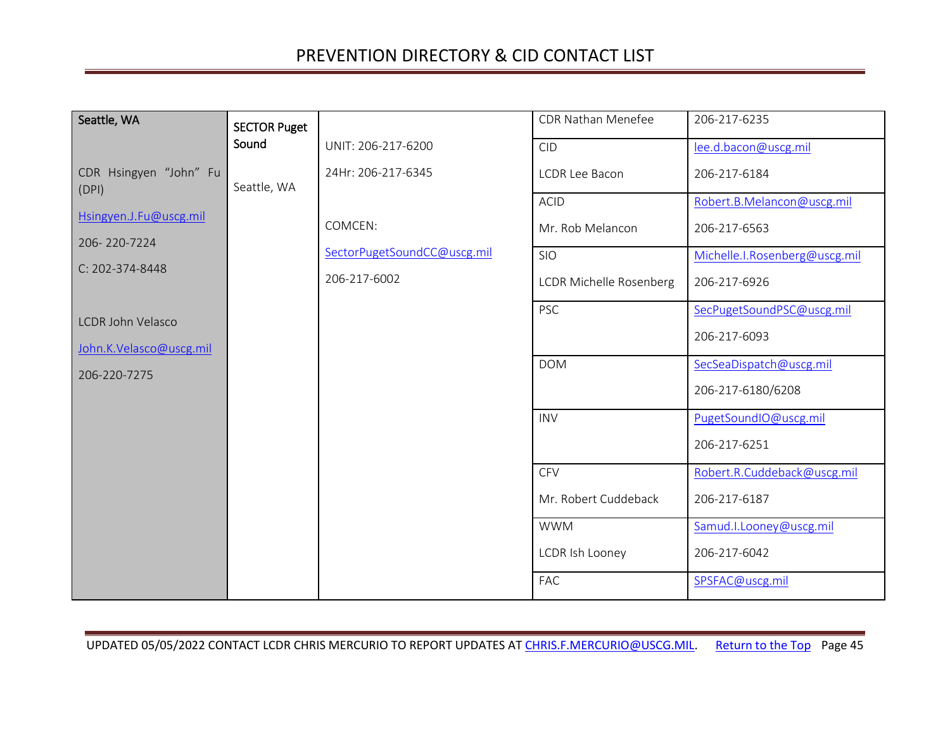<span id="page-44-0"></span>

| Seattle, WA                     | <b>SECTOR Puget</b> |                             | CDR Nathan Menefee              | 206-217-6235                               |
|---------------------------------|---------------------|-----------------------------|---------------------------------|--------------------------------------------|
|                                 | Sound               | UNIT: 206-217-6200          | <b>CID</b>                      | lee.d.bacon@uscg.mil                       |
| CDR Hsingyen "John" Fu<br>(DPI) | Seattle, WA         | 24Hr: 206-217-6345          | <b>LCDR Lee Bacon</b>           | 206-217-6184                               |
| Hsingyen.J.Fu@uscg.mil          |                     | COMCEN:                     | <b>ACID</b><br>Mr. Rob Melancon | Robert.B.Melancon@uscg.mil<br>206-217-6563 |
| 206-220-7224                    |                     | SectorPugetSoundCC@uscg.mil | <b>SIO</b>                      | Michelle.I.Rosenberg@uscg.mil              |
| C: 202-374-8448                 |                     | 206-217-6002                | <b>LCDR Michelle Rosenberg</b>  | 206-217-6926                               |
| <b>LCDR John Velasco</b>        |                     |                             | <b>PSC</b>                      | SecPugetSoundPSC@uscg.mil                  |
| John.K.Velasco@uscg.mil         |                     |                             |                                 | 206-217-6093                               |
| 206-220-7275                    |                     |                             | <b>DOM</b>                      | SecSeaDispatch@uscg.mil                    |
|                                 |                     |                             |                                 | 206-217-6180/6208                          |
|                                 |                     |                             | <b>INV</b>                      | PugetSoundIO@uscg.mil                      |
|                                 |                     |                             |                                 | 206-217-6251                               |
|                                 |                     |                             | <b>CFV</b>                      | Robert.R.Cuddeback@uscg.mil                |
|                                 |                     |                             | Mr. Robert Cuddeback            | 206-217-6187                               |
|                                 |                     |                             | <b>WWM</b>                      | Samud.I.Looney@uscg.mil                    |
|                                 |                     |                             | LCDR Ish Looney                 | 206-217-6042                               |
|                                 |                     |                             | FAC                             | SPSFAC@uscg.mil                            |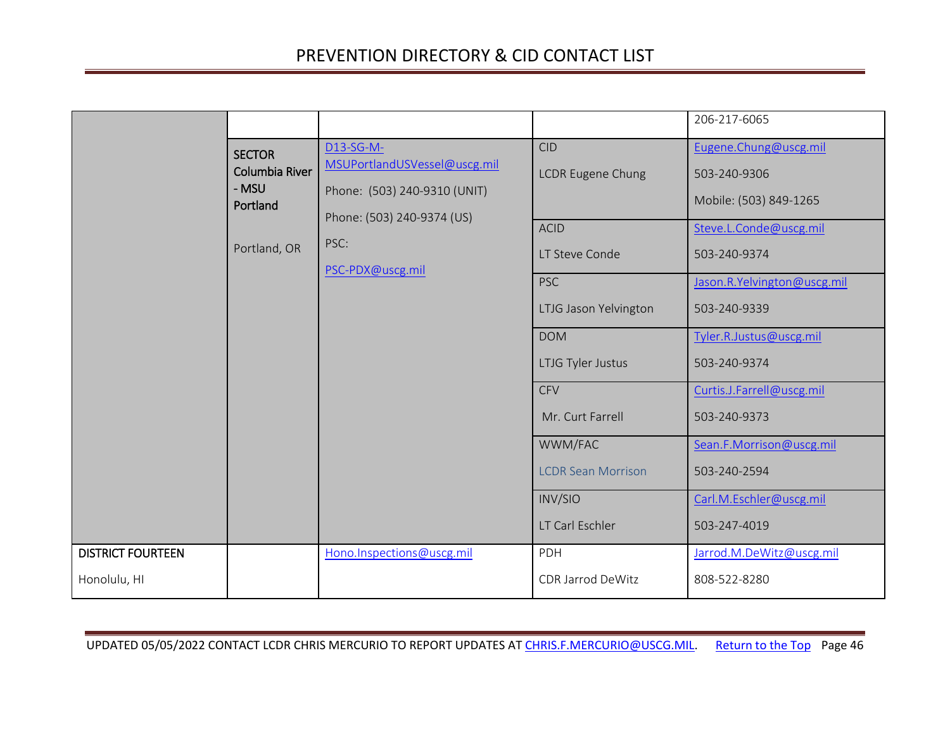<span id="page-45-1"></span><span id="page-45-0"></span>

|                          |                                                                      |                                                                                                                                     |                                                                                                                                                                                                                                               | 206-217-6065                                                                                                                                                                                                                                                                                                            |
|--------------------------|----------------------------------------------------------------------|-------------------------------------------------------------------------------------------------------------------------------------|-----------------------------------------------------------------------------------------------------------------------------------------------------------------------------------------------------------------------------------------------|-------------------------------------------------------------------------------------------------------------------------------------------------------------------------------------------------------------------------------------------------------------------------------------------------------------------------|
|                          | <b>SECTOR</b><br>Columbia River<br>- MSU<br>Portland<br>Portland, OR | D13-SG-M-<br>MSUPortlandUSVessel@uscg.mil<br>Phone: (503) 240-9310 (UNIT)<br>Phone: (503) 240-9374 (US)<br>PSC:<br>PSC-PDX@uscg.mil | <b>CID</b><br><b>LCDR Eugene Chung</b><br><b>ACID</b><br>LT Steve Conde<br><b>PSC</b><br>LTJG Jason Yelvington<br><b>DOM</b><br>LTJG Tyler Justus<br><b>CFV</b><br>Mr. Curt Farrell<br>WWM/FAC<br><b>LCDR Sean Morrison</b><br><b>INV/SIO</b> | Eugene.Chung@uscg.mil<br>503-240-9306<br>Mobile: (503) 849-1265<br>Steve.L.Conde@uscg.mil<br>503-240-9374<br>Jason.R.Yelvington@uscg.mil<br>503-240-9339<br>Tyler.R.Justus@uscg.mil<br>503-240-9374<br>Curtis.J.Farrell@uscg.mil<br>503-240-9373<br>Sean.F.Morrison@uscg.mil<br>503-240-2594<br>Carl.M.Eschler@uscg.mil |
|                          |                                                                      |                                                                                                                                     | LT Carl Eschler                                                                                                                                                                                                                               | 503-247-4019                                                                                                                                                                                                                                                                                                            |
| <b>DISTRICT FOURTEEN</b> |                                                                      | Hono.Inspections@uscg.mil                                                                                                           | PDH                                                                                                                                                                                                                                           | Jarrod.M.DeWitz@uscg.mil                                                                                                                                                                                                                                                                                                |
| Honolulu, HI             |                                                                      |                                                                                                                                     | CDR Jarrod DeWitz                                                                                                                                                                                                                             | 808-522-8280                                                                                                                                                                                                                                                                                                            |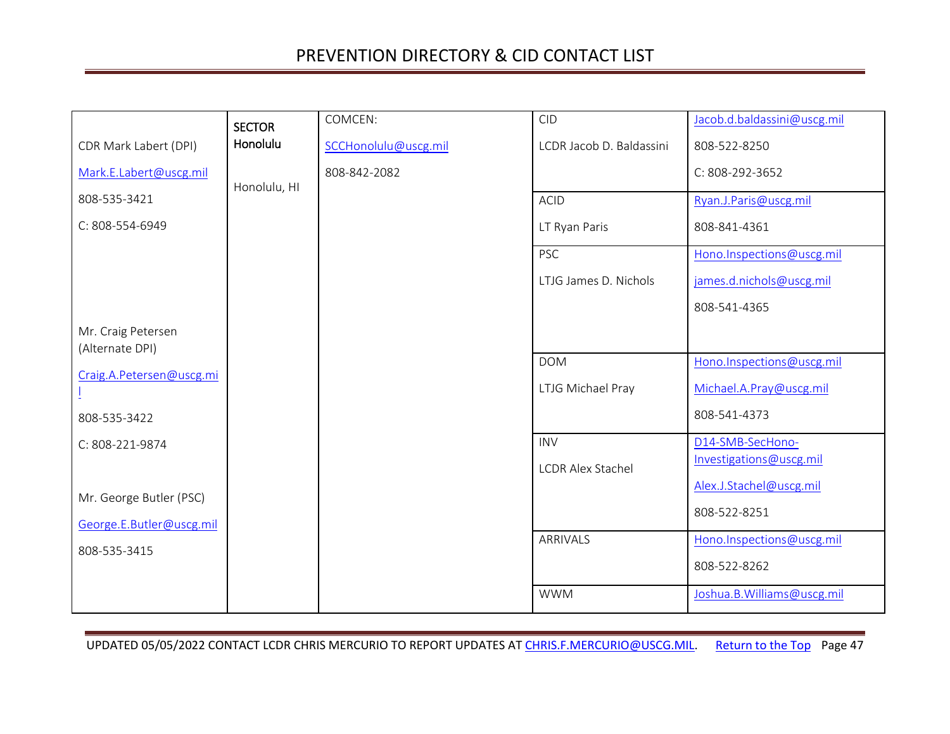<span id="page-46-0"></span>

|                                       | <b>SECTOR</b> | COMCEN:              | <b>CID</b>               | Jacob.d.baldassini@uscg.mil |
|---------------------------------------|---------------|----------------------|--------------------------|-----------------------------|
| CDR Mark Labert (DPI)                 | Honolulu      | SCCHonolulu@uscg.mil | LCDR Jacob D. Baldassini | 808-522-8250                |
| Mark.E.Labert@uscg.mil                | Honolulu, HI  | 808-842-2082         |                          | C: 808-292-3652             |
| 808-535-3421                          |               |                      | <b>ACID</b>              | Ryan.J.Paris@uscg.mil       |
| C: 808-554-6949                       |               |                      | LT Ryan Paris            | 808-841-4361                |
|                                       |               |                      | <b>PSC</b>               | Hono.Inspections@uscg.mil   |
|                                       |               |                      | LTJG James D. Nichols    | james.d.nichols@uscg.mil    |
|                                       |               |                      |                          | 808-541-4365                |
| Mr. Craig Petersen<br>(Alternate DPI) |               |                      |                          |                             |
| Craig.A.Petersen@uscg.mi              |               |                      | <b>DOM</b>               | Hono.Inspections@uscg.mil   |
|                                       |               |                      | LTJG Michael Pray        | Michael.A.Pray@uscg.mil     |
| 808-535-3422                          |               |                      |                          | 808-541-4373                |
| C: 808-221-9874                       |               |                      | <b>INV</b>               | D14-SMB-SecHono-            |
|                                       |               |                      | <b>LCDR Alex Stachel</b> | Investigations@uscg.mil     |
| Mr. George Butler (PSC)               |               |                      |                          | Alex.J.Stachel@uscg.mil     |
| George.E.Butler@uscg.mil              |               |                      |                          | 808-522-8251                |
| 808-535-3415                          |               |                      | ARRIVALS                 | Hono.Inspections@uscg.mil   |
|                                       |               |                      |                          | 808-522-8262                |
|                                       |               |                      | <b>WWM</b>               | Joshua.B. Williams@uscg.mil |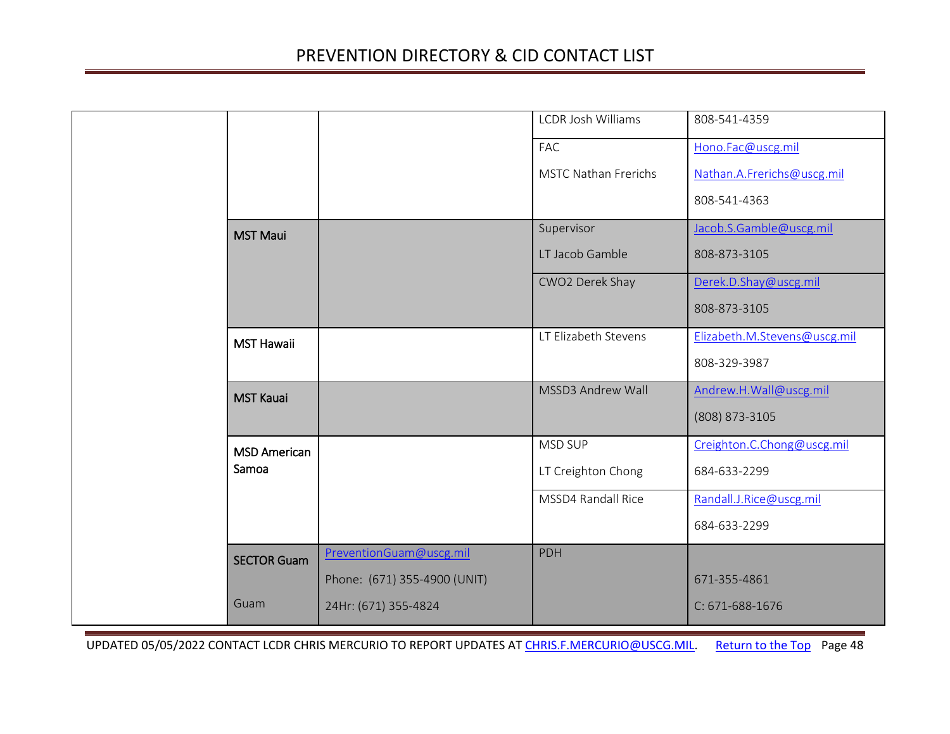<span id="page-47-4"></span><span id="page-47-3"></span><span id="page-47-2"></span><span id="page-47-1"></span><span id="page-47-0"></span>

|  |                     |                              | <b>LCDR Josh Williams</b>   | 808-541-4359                 |
|--|---------------------|------------------------------|-----------------------------|------------------------------|
|  |                     |                              | FAC                         | Hono.Fac@uscg.mil            |
|  |                     |                              | <b>MSTC Nathan Frerichs</b> | Nathan.A.Frerichs@uscg.mil   |
|  |                     |                              |                             | 808-541-4363                 |
|  | <b>MST Maui</b>     |                              | Supervisor                  | Jacob.S.Gamble@uscg.mil      |
|  |                     |                              | LT Jacob Gamble             | 808-873-3105                 |
|  |                     |                              | CWO2 Derek Shay             | Derek.D.Shay@uscg.mil        |
|  |                     |                              |                             | 808-873-3105                 |
|  | <b>MST Hawaii</b>   |                              | LT Elizabeth Stevens        | Elizabeth.M.Stevens@uscg.mil |
|  |                     |                              |                             | 808-329-3987                 |
|  | <b>MST Kauai</b>    |                              | <b>MSSD3 Andrew Wall</b>    | Andrew.H.Wall@uscg.mil       |
|  |                     |                              |                             | (808) 873-3105               |
|  | <b>MSD American</b> |                              | MSD SUP                     | Creighton.C.Chong@uscg.mil   |
|  | Samoa               |                              | LT Creighton Chong          | 684-633-2299                 |
|  |                     |                              | MSSD4 Randall Rice          | Randall.J.Rice@uscg.mil      |
|  |                     |                              |                             | 684-633-2299                 |
|  | <b>SECTOR Guam</b>  | PreventionGuam@uscg.mil      | <b>PDH</b>                  |                              |
|  |                     | Phone: (671) 355-4900 (UNIT) |                             | 671-355-4861                 |
|  | Guam                | 24Hr: (671) 355-4824         |                             | C: 671-688-1676              |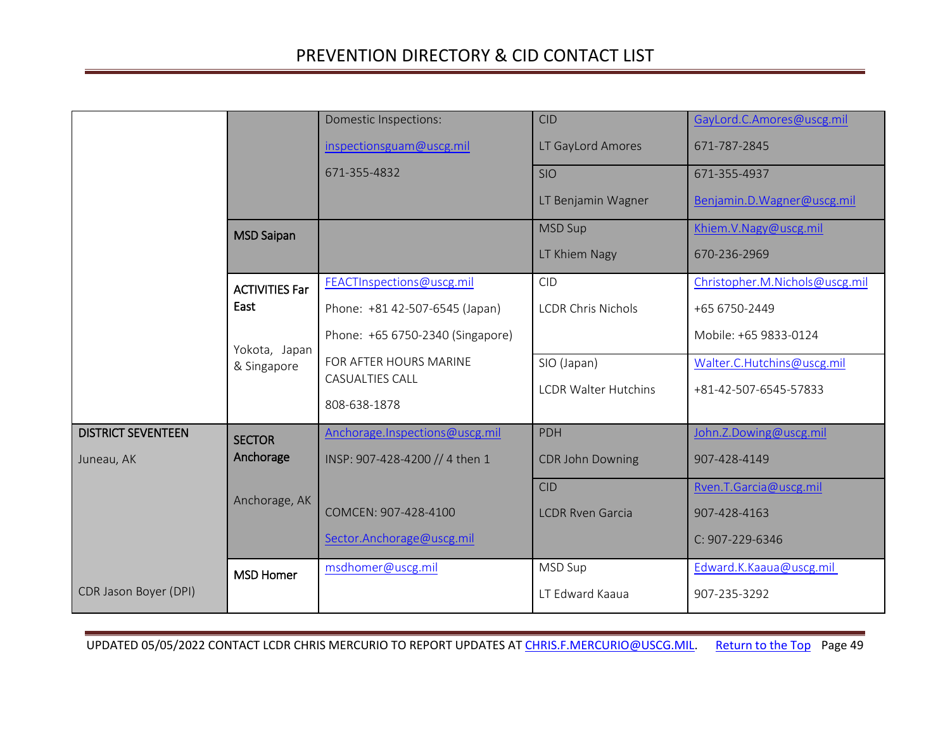<span id="page-48-4"></span><span id="page-48-3"></span><span id="page-48-2"></span><span id="page-48-1"></span><span id="page-48-0"></span>

|                           |                       | Domestic Inspections:            | <b>CID</b>                  | GayLord.C.Amores@uscg.mil      |
|---------------------------|-----------------------|----------------------------------|-----------------------------|--------------------------------|
|                           |                       | inspectionsguam@uscg.mil         | LT GayLord Amores           | 671-787-2845                   |
|                           |                       | 671-355-4832                     | <b>SIO</b>                  | 671-355-4937                   |
|                           |                       |                                  | LT Benjamin Wagner          | Benjamin.D. Wagner@uscg.mil    |
|                           | <b>MSD Saipan</b>     |                                  | <b>MSD Sup</b>              | Khiem.V.Nagy@uscg.mil          |
|                           |                       |                                  | LT Khiem Nagy               | 670-236-2969                   |
|                           | <b>ACTIVITIES Far</b> | FEACTInspections@uscg.mil        | <b>CID</b>                  | Christopher.M.Nichols@uscg.mil |
|                           | East                  | Phone: +81 42-507-6545 (Japan)   | <b>LCDR Chris Nichols</b>   | +65 6750-2449                  |
|                           | Yokota, Japan         | Phone: +65 6750-2340 (Singapore) |                             | Mobile: +65 9833-0124          |
|                           | & Singapore           | FOR AFTER HOURS MARINE           | SIO (Japan)                 | Walter.C.Hutchins@uscg.mil     |
|                           |                       | <b>CASUALTIES CALL</b>           | <b>LCDR Walter Hutchins</b> | +81-42-507-6545-57833          |
|                           |                       | 808-638-1878                     |                             |                                |
| <b>DISTRICT SEVENTEEN</b> | <b>SECTOR</b>         | Anchorage.Inspections@uscg.mil   | <b>PDH</b>                  | John.Z.Dowing@uscg.mil         |
| Juneau, AK                | Anchorage             | INSP: 907-428-4200 // 4 then 1   | <b>CDR John Downing</b>     | 907-428-4149                   |
|                           | Anchorage, AK         |                                  | <b>CID</b>                  | Rven.T.Garcia@uscg.mil         |
|                           |                       | COMCEN: 907-428-4100             | <b>LCDR Rven Garcia</b>     | 907-428-4163                   |
|                           |                       | Sector.Anchorage@uscg.mil        |                             | C: 907-229-6346                |
|                           | <b>MSD Homer</b>      | msdhomer@uscg.mil                | MSD Sup                     | Edward.K.Kaaua@uscg.mil        |
| CDR Jason Boyer (DPI)     |                       |                                  | LT Edward Kaaua             | 907-235-3292                   |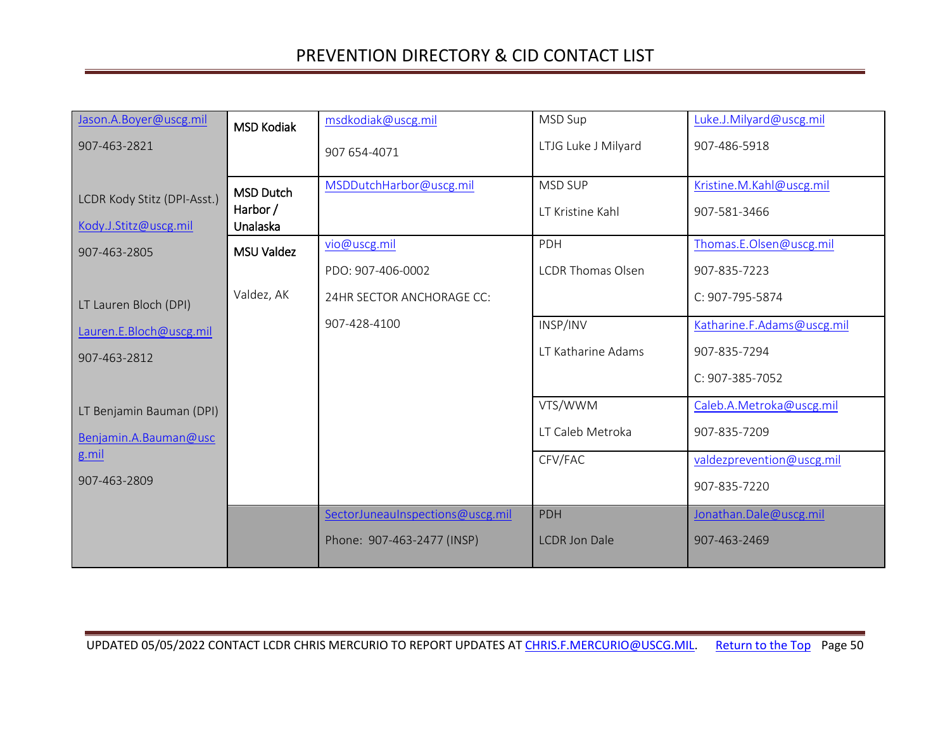<span id="page-49-2"></span><span id="page-49-1"></span><span id="page-49-0"></span>

| Jason.A.Boyer@uscg.mil                               | <b>MSD Kodiak</b>                        | msdkodiak@uscg.mil               | <b>MSD Sup</b>                     | Luke.J.Milyard@uscg.mil                  |
|------------------------------------------------------|------------------------------------------|----------------------------------|------------------------------------|------------------------------------------|
| 907-463-2821                                         |                                          | 907 654-4071                     | LTJG Luke J Milyard                | 907-486-5918                             |
| LCDR Kody Stitz (DPI-Asst.)<br>Kody.J.Stitz@uscg.mil | <b>MSD Dutch</b><br>Harbor /<br>Unalaska | MSDDutchHarbor@uscg.mil          | <b>MSD SUP</b><br>LT Kristine Kahl | Kristine.M.Kahl@uscg.mil<br>907-581-3466 |
| 907-463-2805                                         | <b>MSU Valdez</b>                        | vio@uscg.mil                     | PDH                                | Thomas.E.Olsen@uscg.mil                  |
|                                                      |                                          | PDO: 907-406-0002                | <b>LCDR Thomas Olsen</b>           | 907-835-7223                             |
| LT Lauren Bloch (DPI)                                | Valdez, AK                               | 24HR SECTOR ANCHORAGE CC:        |                                    | C: 907-795-5874                          |
| Lauren.E.Bloch@uscg.mil                              |                                          | 907-428-4100                     | INSP/INV                           | Katharine.F.Adams@uscg.mil               |
| 907-463-2812                                         |                                          |                                  | LT Katharine Adams                 | 907-835-7294                             |
|                                                      |                                          |                                  |                                    | C: 907-385-7052                          |
| LT Benjamin Bauman (DPI)                             |                                          |                                  | VTS/WWM                            | Caleb.A.Metroka@uscg.mil                 |
| Benjamin.A.Bauman@usc                                |                                          |                                  | LT Caleb Metroka                   | 907-835-7209                             |
| g.mil                                                |                                          |                                  | CFV/FAC                            | valdezprevention@uscg.mil                |
| 907-463-2809                                         |                                          |                                  |                                    | 907-835-7220                             |
|                                                      |                                          | SectorJuneauInspections@uscg.mil | <b>PDH</b>                         | Jonathan.Dale@uscg.mil                   |
|                                                      |                                          | Phone: 907-463-2477 (INSP)       | <b>LCDR Jon Dale</b>               | 907-463-2469                             |